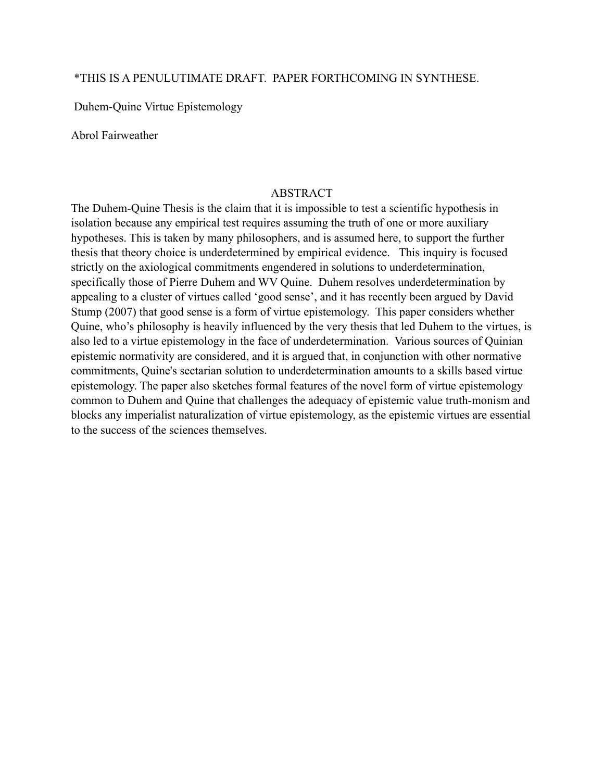## \*THIS IS A PENULUTIMATE DRAFT. PAPER FORTHCOMING IN SYNTHESE.

Duhem-Quine Virtue Epistemology

Abrol Fairweather

## ABSTRACT

The Duhem-Quine Thesis is the claim that it is impossible to test a scientific hypothesis in isolation because any empirical test requires assuming the truth of one or more auxiliary hypotheses. This is taken by many philosophers, and is assumed here, to support the further thesis that theory choice is underdetermined by empirical evidence. This inquiry is focused strictly on the axiological commitments engendered in solutions to underdetermination, specifically those of Pierre Duhem and WV Quine. Duhem resolves underdetermination by appealing to a cluster of virtues called 'good sense', and it has recently been argued by David Stump (2007) that good sense is a form of virtue epistemology. This paper considers whether Quine, who's philosophy is heavily influenced by the very thesis that led Duhem to the virtues, is also led to a virtue epistemology in the face of underdetermination. Various sources of Quinian epistemic normativity are considered, and it is argued that, in conjunction with other normative commitments, Quine's sectarian solution to underdetermination amounts to a skills based virtue epistemology. The paper also sketches formal features of the novel form of virtue epistemology common to Duhem and Quine that challenges the adequacy of epistemic value truth-monism and blocks any imperialist naturalization of virtue epistemology, as the epistemic virtues are essential to the success of the sciences themselves.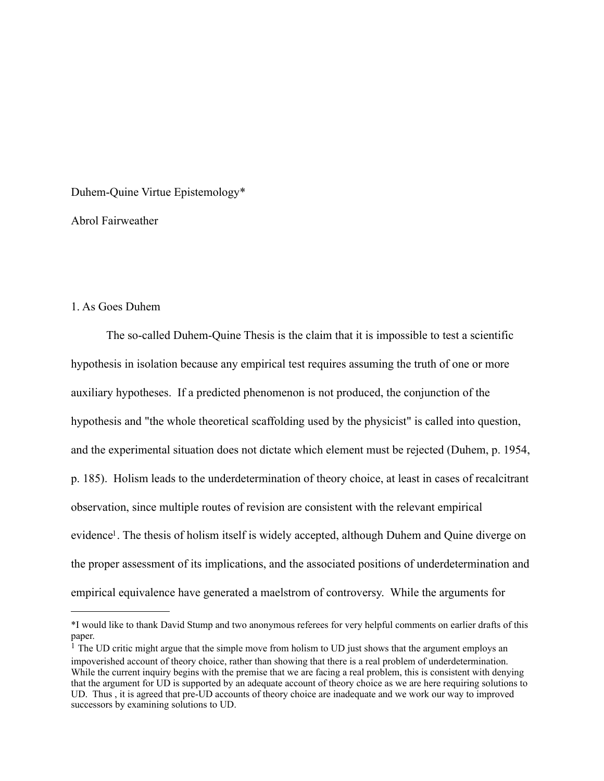# Duhem-Quine Virtue Epistemology\* Abrol Fairweather

#### 1. As Goes Duhem

 The so-called Duhem-Quine Thesis is the claim that it is impossible to test a scientific hypothesis in isolation because any empirical test requires assuming the truth of one or more auxiliary hypotheses. If a predicted phenomenon is not produced, the conjunction of the hypothesis and "the whole theoretical scaffolding used by the physicist" is called into question, and the experimental situation does not dictate which element must be rejected (Duhem, p. 1954, p. 185). Holism leads to the underdetermination of theory choice, at least in cases of recalcitrant observation, since multiple routes of revision are consistent with the relevant empirical evidence<sup>1</sup>. The thesis of holism itself is widely accepted, although Duhem and Quine diverge on the proper assessment of its implications, and the associated positions of underdetermination and empirical equivalence have generated a maelstrom of controversy. While the arguments for

<sup>\*</sup>I would like to thank David Stump and two anonymous referees for very helpful comments on earlier drafts of this paper.

<span id="page-1-0"></span><sup>&</sup>lt;sup>1</sup> The UD critic might argue that the simple move from holism to UD just shows that the argument employs an impoverished account of theory choice, rather than showing that there is a real problem of underdetermination. While the current inquiry begins with the premise that we are facing a real problem, this is consistent with denying that the argument for UD is supported by an adequate account of theory choice as we are here requiring solutions to UD. Thus , it is agreed that pre-UD accounts of theory choice are inadequate and we work our way to improved successors by examining solutions to UD.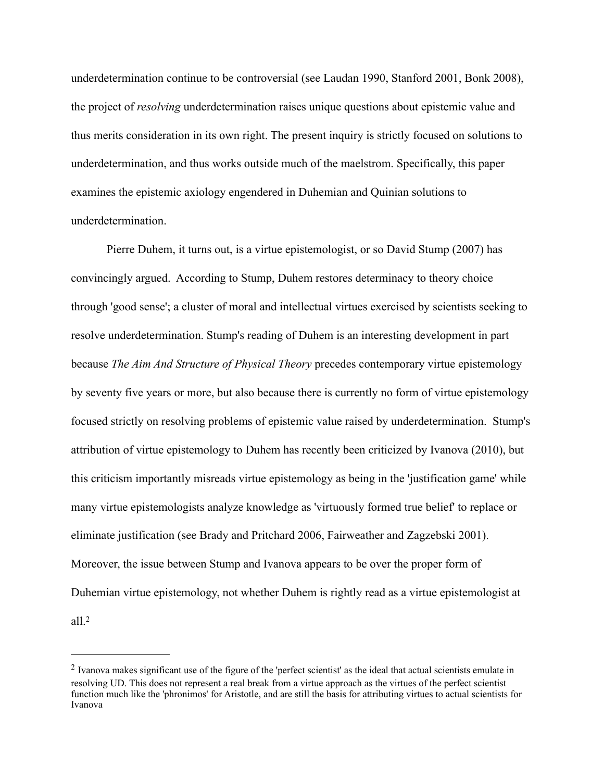underdetermination continue to be controversial (see Laudan 1990, Stanford 2001, Bonk 2008), the project of *resolving* underdetermination raises unique questions about epistemic value and thus merits consideration in its own right. The present inquiry is strictly focused on solutions to underdetermination, and thus works outside much of the maelstrom. Specifically, this paper examines the epistemic axiology engendered in Duhemian and Quinian solutions to underdetermination.

 Pierre Duhem, it turns out, is a virtue epistemologist, or so David Stump (2007) has convincingly argued. According to Stump, Duhem restores determinacy to theory choice through 'good sense'; a cluster of moral and intellectual virtues exercised by scientists seeking to resolve underdetermination. Stump's reading of Duhem is an interesting development in part because *The Aim And Structure of Physical Theory* precedes contemporary virtue epistemology by seventy five years or more, but also because there is currently no form of virtue epistemology focused strictly on resolving problems of epistemic value raised by underdetermination. Stump's attribution of virtue epistemology to Duhem has recently been criticized by Ivanova (2010), but this criticism importantly misreads virtue epistemology as being in the 'justification game' while many virtue epistemologists analyze knowledge as 'virtuously formed true belief' to replace or eliminate justification (see Brady and Pritchard 2006, Fairweather and Zagzebski 2001). Moreover, the issue between Stump and Ivanova appears to be over the proper form of Duhemian virtue epistemology, not whether Duhem is rightly read as a virtue epistemologist at all. $2$ 

<span id="page-2-0"></span><sup>&</sup>lt;sup>2</sup> Ivanova makes significant use of the figure of the 'perfect scientist' as the ideal that actual scientists emulate in resolving UD. This does not represent a real break from a virtue approach as the virtues of the perfect scientist function much like the 'phronimos' for Aristotle, and are still the basis for attributing virtues to actual scientists for Ivanova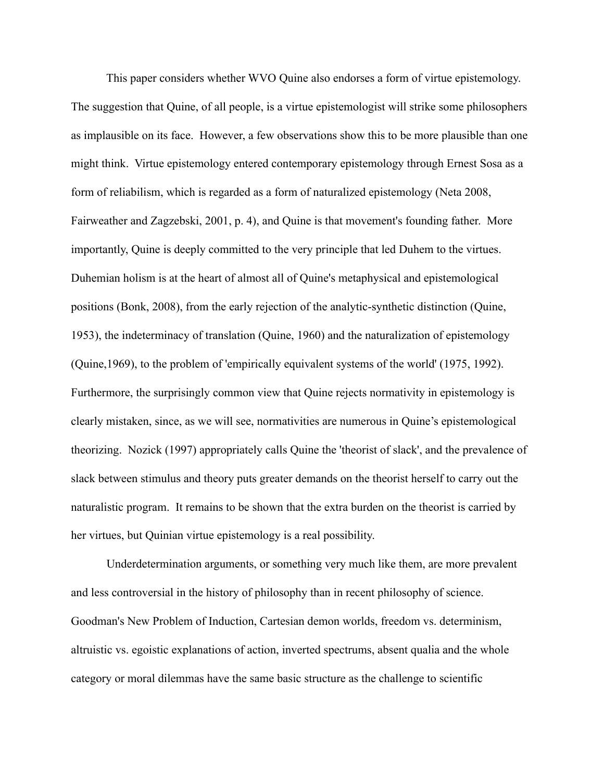This paper considers whether WVO Quine also endorses a form of virtue epistemology. The suggestion that Quine, of all people, is a virtue epistemologist will strike some philosophers as implausible on its face. However, a few observations show this to be more plausible than one might think. Virtue epistemology entered contemporary epistemology through Ernest Sosa as a form of reliabilism, which is regarded as a form of naturalized epistemology (Neta 2008, Fairweather and Zagzebski, 2001, p. 4), and Quine is that movement's founding father. More importantly, Quine is deeply committed to the very principle that led Duhem to the virtues. Duhemian holism is at the heart of almost all of Quine's metaphysical and epistemological positions (Bonk, 2008), from the early rejection of the analytic-synthetic distinction (Quine, 1953), the indeterminacy of translation (Quine, 1960) and the naturalization of epistemology (Quine,1969), to the problem of 'empirically equivalent systems of the world' (1975, 1992). Furthermore, the surprisingly common view that Quine rejects normativity in epistemology is clearly mistaken, since, as we will see, normativities are numerous in Quine's epistemological theorizing. Nozick (1997) appropriately calls Quine the 'theorist of slack', and the prevalence of slack between stimulus and theory puts greater demands on the theorist herself to carry out the naturalistic program. It remains to be shown that the extra burden on the theorist is carried by her virtues, but Quinian virtue epistemology is a real possibility.

Underdetermination arguments, or something very much like them, are more prevalent and less controversial in the history of philosophy than in recent philosophy of science. Goodman's New Problem of Induction, Cartesian demon worlds, freedom vs. determinism, altruistic vs. egoistic explanations of action, inverted spectrums, absent qualia and the whole category or moral dilemmas have the same basic structure as the challenge to scientific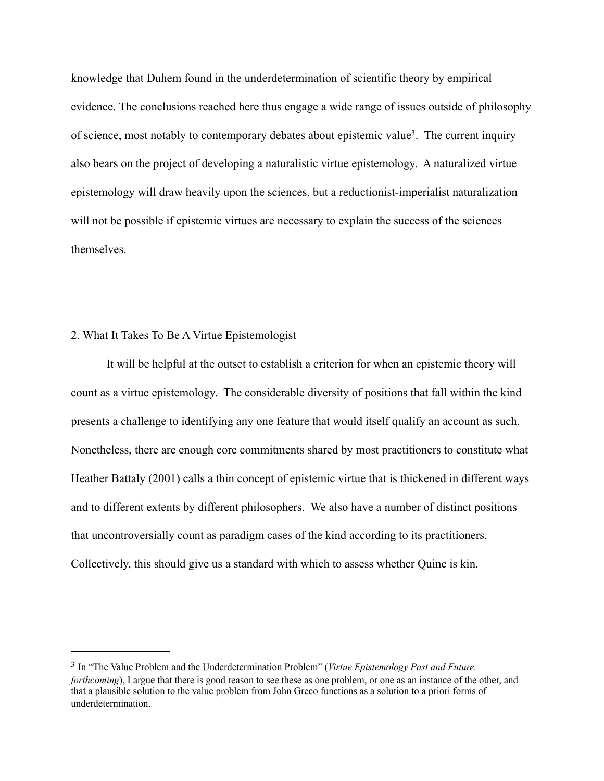knowledge that Duhem found in the underdetermination of scientific theory by empirical evidence. The conclusions reached here thus engage a wide range of issues outside of philosophy of science, most notably to contemporary debates about epistemic value<sup>3</sup>. The current inquiry also bears on the project of developing a naturalistic virtue epistemology. A naturalized virtue epistemology will draw heavily upon the sciences, but a reductionist-imperialist naturalization will not be possible if epistemic virtues are necessary to explain the success of the sciences themselves.

## 2. What It Takes To Be A Virtue Epistemologist

It will be helpful at the outset to establish a criterion for when an epistemic theory will count as a virtue epistemology. The considerable diversity of positions that fall within the kind presents a challenge to identifying any one feature that would itself qualify an account as such. Nonetheless, there are enough core commitments shared by most practitioners to constitute what Heather Battaly (2001) calls a thin concept of epistemic virtue that is thickened in different ways and to different extents by different philosophers. We also have a number of distinct positions that uncontroversially count as paradigm cases of the kind according to its practitioners. Collectively, this should give us a standard with which to assess whether Quine is kin.

<span id="page-4-0"></span><sup>3</sup> In "The Value Problem and the Underdetermination Problem" (*Virtue Epistemology Past and Future, forthcoming*). I argue that there is good reason to see these as one problem, or one as an instance of the other, and that a plausible solution to the value problem from John Greco functions as a solution to a priori forms of underdetermination.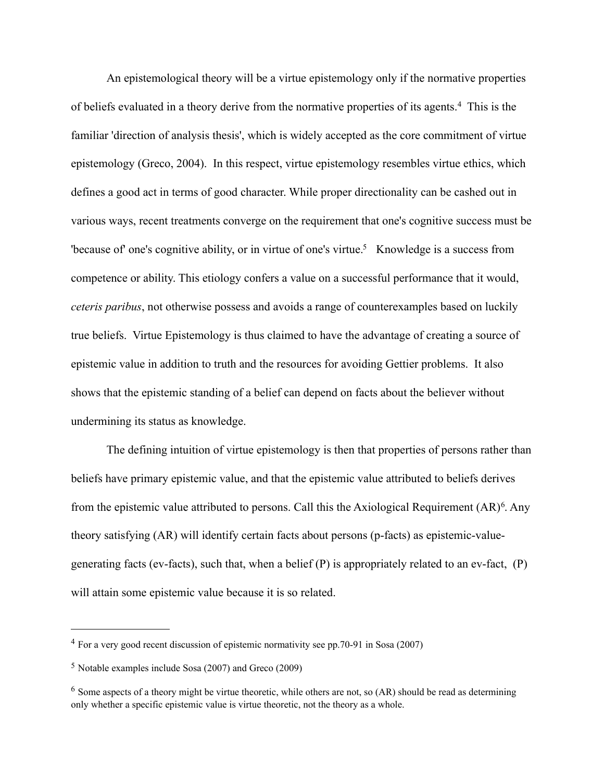An epistemological theory will be a virtue epistemology only if the normative properties of beliefs evaluated in a theory derive from the normative properties of its agents.[4](#page-5-0) This is the familiar 'direction of analysis thesis', which is widely accepted as the core commitment of virtue epistemology (Greco, 2004). In this respect, virtue epistemology resembles virtue ethics, which defines a good act in terms of good character. While proper directionality can be cashed out in various ways, recent treatments converge on the requirement that one's cognitive success must be 'because of' one's cognitive ability, or in virtue of one's virtue.<sup>5</sup> Knowledge is a success from competence or ability. This etiology confers a value on a successful performance that it would, *ceteris paribus*, not otherwise possess and avoids a range of counterexamples based on luckily true beliefs. Virtue Epistemology is thus claimed to have the advantage of creating a source of epistemic value in addition to truth and the resources for avoiding Gettier problems. It also shows that the epistemic standing of a belief can depend on facts about the believer without undermining its status as knowledge.

The defining intuition of virtue epistemology is then that properties of persons rather than beliefs have primary epistemic value, and that the epistemic value attributed to beliefs derives from the epistemic value attributed to persons. Call this the Axiological Requirement  $(AR)^6$ . Any theory satisfying (AR) will identify certain facts about persons (p-facts) as epistemic-valuegenerating facts (ev-facts), such that, when a belief (P) is appropriately related to an ev-fact, (P) will attain some epistemic value because it is so related.

<span id="page-5-0"></span><sup>4</sup> For a very good recent discussion of epistemic normativity see pp.70-91 in Sosa (2007)

<span id="page-5-1"></span><sup>5</sup> Notable examples include Sosa (2007) and Greco (2009)

<span id="page-5-2"></span> $6$  Some aspects of a theory might be virtue theoretic, while others are not, so  $(AR)$  should be read as determining only whether a specific epistemic value is virtue theoretic, not the theory as a whole.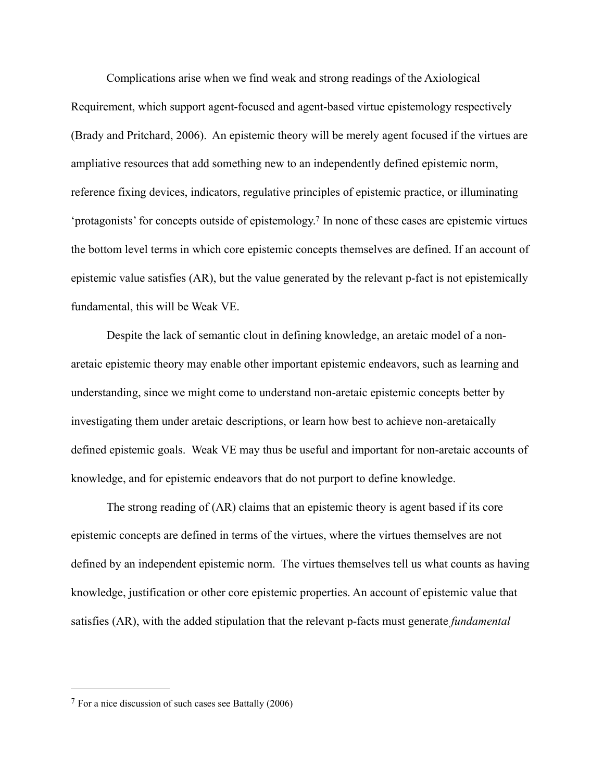Complications arise when we find weak and strong readings of the Axiological Requirement, which support agent-focused and agent-based virtue epistemology respectively (Brady and Pritchard, 2006). An epistemic theory will be merely agent focused if the virtues are ampliative resources that add something new to an independently defined epistemic norm, reference fixing devices, indicators, regulative principles of epistemic practice, or illuminating 'protagonists' for concepts outside of epistemology[.7](#page-6-0) In none of these cases are epistemic virtues the bottom level terms in which core epistemic concepts themselves are defined. If an account of epistemic value satisfies (AR), but the value generated by the relevant p-fact is not epistemically fundamental, this will be Weak VE.

Despite the lack of semantic clout in defining knowledge, an aretaic model of a nonaretaic epistemic theory may enable other important epistemic endeavors, such as learning and understanding, since we might come to understand non-aretaic epistemic concepts better by investigating them under aretaic descriptions, or learn how best to achieve non-aretaically defined epistemic goals. Weak VE may thus be useful and important for non-aretaic accounts of knowledge, and for epistemic endeavors that do not purport to define knowledge.

The strong reading of (AR) claims that an epistemic theory is agent based if its core epistemic concepts are defined in terms of the virtues, where the virtues themselves are not defined by an independent epistemic norm. The virtues themselves tell us what counts as having knowledge, justification or other core epistemic properties. An account of epistemic value that satisfies (AR), with the added stipulation that the relevant p-facts must generate *fundamental*

<span id="page-6-0"></span> $7$  For a nice discussion of such cases see Battally (2006)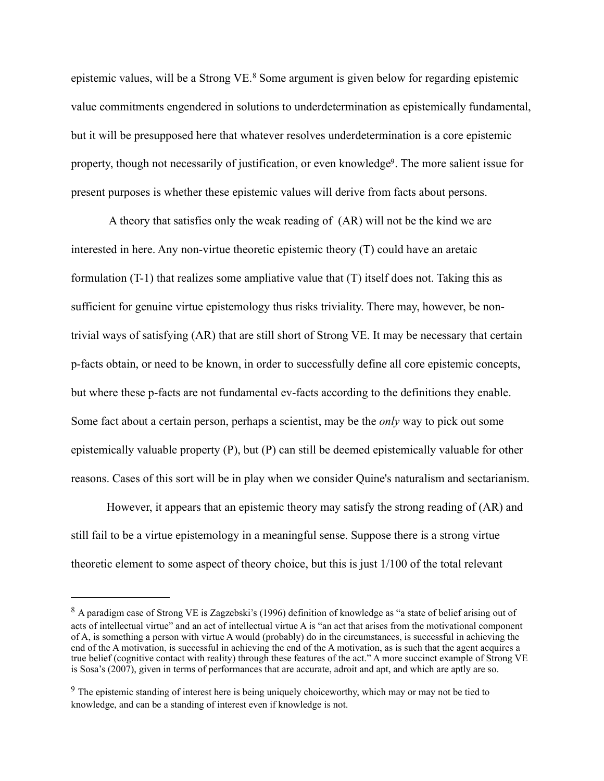epistemic values, will be a Strong VE.[8](#page-7-0) Some argument is given below for regarding epistemic value commitments engendered in solutions to underdetermination as epistemically fundamental, but it will be presupposed here that whatever resolves underdetermination is a core epistemic property, though not necessarily of justification, or even knowledge<sup>9</sup>. The more salient issue for present purposes is whether these epistemic values will derive from facts about persons.

 A theory that satisfies only the weak reading of (AR) will not be the kind we are interested in here. Any non-virtue theoretic epistemic theory (T) could have an aretaic formulation (T-1) that realizes some ampliative value that (T) itself does not. Taking this as sufficient for genuine virtue epistemology thus risks triviality. There may, however, be nontrivial ways of satisfying (AR) that are still short of Strong VE. It may be necessary that certain p-facts obtain, or need to be known, in order to successfully define all core epistemic concepts, but where these p-facts are not fundamental ev-facts according to the definitions they enable. Some fact about a certain person, perhaps a scientist, may be the *only* way to pick out some epistemically valuable property (P), but (P) can still be deemed epistemically valuable for other reasons. Cases of this sort will be in play when we consider Quine's naturalism and sectarianism.

However, it appears that an epistemic theory may satisfy the strong reading of (AR) and still fail to be a virtue epistemology in a meaningful sense. Suppose there is a strong virtue theoretic element to some aspect of theory choice, but this is just 1/100 of the total relevant

<span id="page-7-0"></span><sup>8</sup> A paradigm case of Strong VE is Zagzebski's (1996) definition of knowledge as "a state of belief arising out of acts of intellectual virtue" and an act of intellectual virtue A is "an act that arises from the motivational component of A, is something a person with virtue A would (probably) do in the circumstances, is successful in achieving the end of the A motivation, is successful in achieving the end of the A motivation, as is such that the agent acquires a true belief (cognitive contact with reality) through these features of the act." A more succinct example of Strong VE is Sosa's (2007), given in terms of performances that are accurate, adroit and apt, and which are aptly are so.

<span id="page-7-1"></span><sup>&</sup>lt;sup>9</sup> The epistemic standing of interest here is being uniquely choiceworthy, which may or may not be tied to knowledge, and can be a standing of interest even if knowledge is not.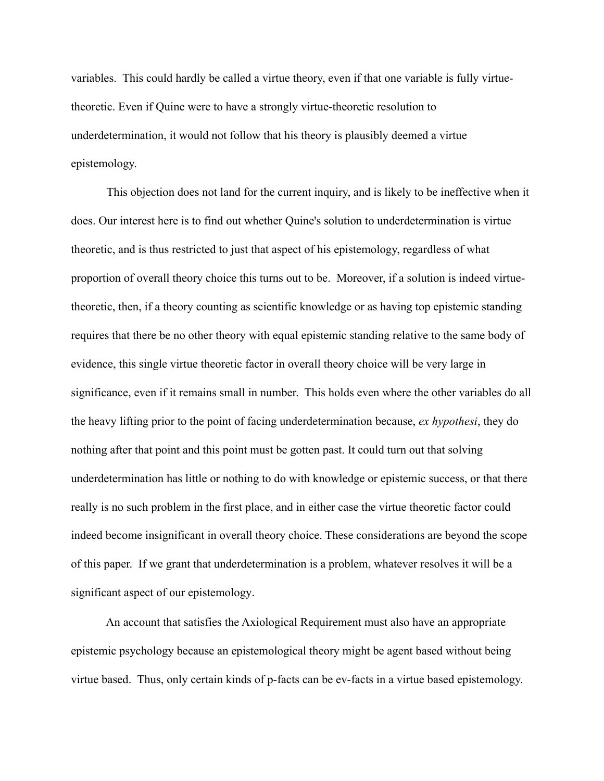variables. This could hardly be called a virtue theory, even if that one variable is fully virtuetheoretic. Even if Quine were to have a strongly virtue-theoretic resolution to underdetermination, it would not follow that his theory is plausibly deemed a virtue epistemology.

This objection does not land for the current inquiry, and is likely to be ineffective when it does. Our interest here is to find out whether Quine's solution to underdetermination is virtue theoretic, and is thus restricted to just that aspect of his epistemology, regardless of what proportion of overall theory choice this turns out to be. Moreover, if a solution is indeed virtuetheoretic, then, if a theory counting as scientific knowledge or as having top epistemic standing requires that there be no other theory with equal epistemic standing relative to the same body of evidence, this single virtue theoretic factor in overall theory choice will be very large in significance, even if it remains small in number. This holds even where the other variables do all the heavy lifting prior to the point of facing underdetermination because, *ex hypothesi*, they do nothing after that point and this point must be gotten past. It could turn out that solving underdetermination has little or nothing to do with knowledge or epistemic success, or that there really is no such problem in the first place, and in either case the virtue theoretic factor could indeed become insignificant in overall theory choice. These considerations are beyond the scope of this paper. If we grant that underdetermination is a problem, whatever resolves it will be a significant aspect of our epistemology.

 An account that satisfies the Axiological Requirement must also have an appropriate epistemic psychology because an epistemological theory might be agent based without being virtue based. Thus, only certain kinds of p-facts can be ev-facts in a virtue based epistemology.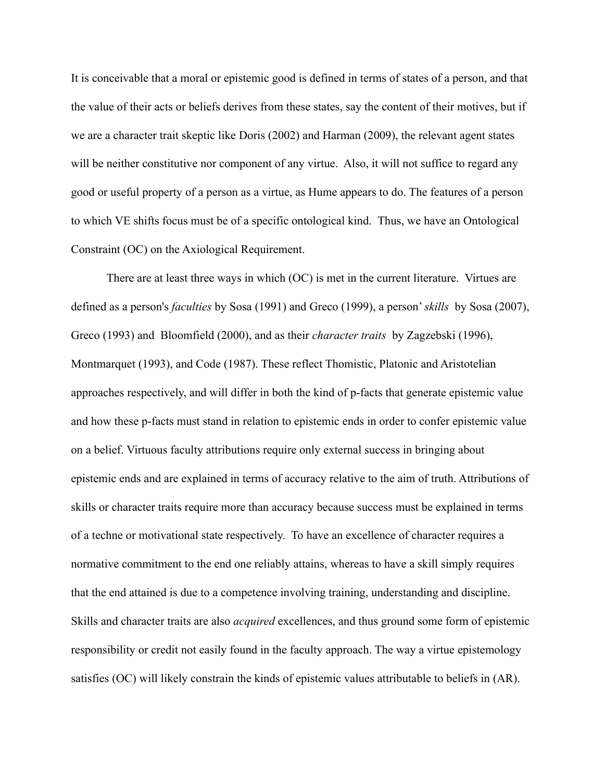It is conceivable that a moral or epistemic good is defined in terms of states of a person, and that the value of their acts or beliefs derives from these states, say the content of their motives, but if we are a character trait skeptic like Doris (2002) and Harman (2009), the relevant agent states will be neither constitutive nor component of any virtue. Also, it will not suffice to regard any good or useful property of a person as a virtue, as Hume appears to do. The features of a person to which VE shifts focus must be of a specific ontological kind. Thus, we have an Ontological Constraint (OC) on the Axiological Requirement.

There are at least three ways in which (OC) is met in the current literature. Virtues are defined as a person's *faculties* by Sosa (1991) and Greco (1999), a person' *skills* by Sosa (2007), Greco (1993) and Bloomfield (2000), and as their *character traits* by Zagzebski (1996), Montmarquet (1993), and Code (1987). These reflect Thomistic, Platonic and Aristotelian approaches respectively, and will differ in both the kind of p-facts that generate epistemic value and how these p-facts must stand in relation to epistemic ends in order to confer epistemic value on a belief. Virtuous faculty attributions require only external success in bringing about epistemic ends and are explained in terms of accuracy relative to the aim of truth. Attributions of skills or character traits require more than accuracy because success must be explained in terms of a techne or motivational state respectively. To have an excellence of character requires a normative commitment to the end one reliably attains, whereas to have a skill simply requires that the end attained is due to a competence involving training, understanding and discipline. Skills and character traits are also *acquired* excellences, and thus ground some form of epistemic responsibility or credit not easily found in the faculty approach. The way a virtue epistemology satisfies (OC) will likely constrain the kinds of epistemic values attributable to beliefs in (AR).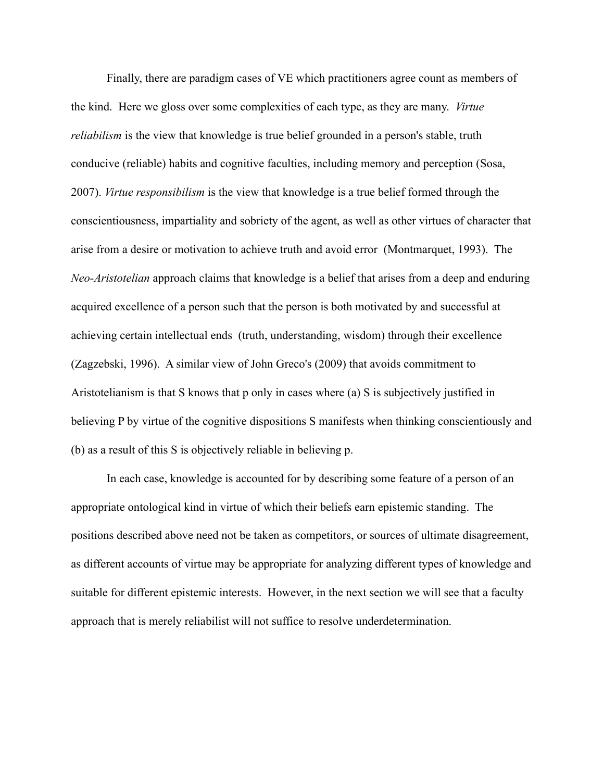Finally, there are paradigm cases of VE which practitioners agree count as members of the kind. Here we gloss over some complexities of each type, as they are many. *Virtue reliabilism* is the view that knowledge is true belief grounded in a person's stable, truth conducive (reliable) habits and cognitive faculties, including memory and perception (Sosa, 2007). *Virtue responsibilism* is the view that knowledge is a true belief formed through the conscientiousness, impartiality and sobriety of the agent, as well as other virtues of character that arise from a desire or motivation to achieve truth and avoid error (Montmarquet, 1993). The *Neo-Aristotelian* approach claims that knowledge is a belief that arises from a deep and enduring acquired excellence of a person such that the person is both motivated by and successful at achieving certain intellectual ends (truth, understanding, wisdom) through their excellence (Zagzebski, 1996). A similar view of John Greco's (2009) that avoids commitment to Aristotelianism is that S knows that p only in cases where (a) S is subjectively justified in believing P by virtue of the cognitive dispositions S manifests when thinking conscientiously and (b) as a result of this S is objectively reliable in believing p.

In each case, knowledge is accounted for by describing some feature of a person of an appropriate ontological kind in virtue of which their beliefs earn epistemic standing. The positions described above need not be taken as competitors, or sources of ultimate disagreement, as different accounts of virtue may be appropriate for analyzing different types of knowledge and suitable for different epistemic interests. However, in the next section we will see that a faculty approach that is merely reliabilist will not suffice to resolve underdetermination.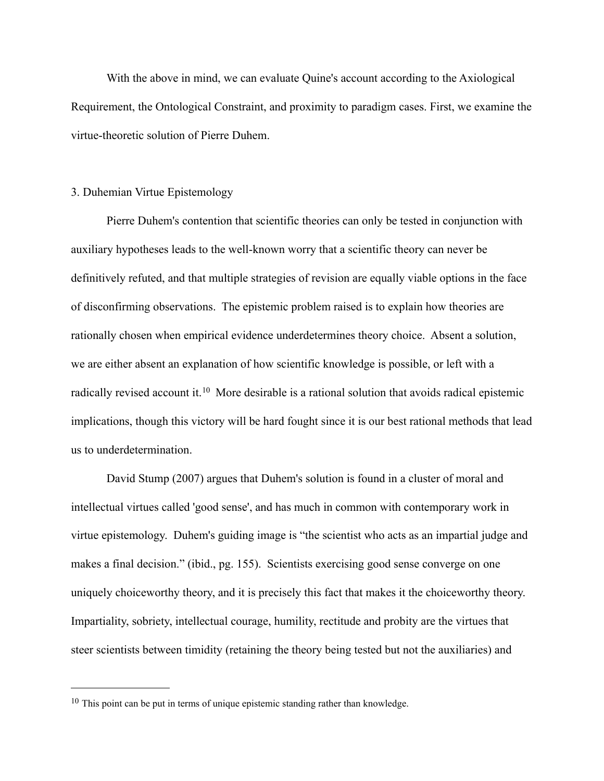With the above in mind, we can evaluate Quine's account according to the Axiological Requirement, the Ontological Constraint, and proximity to paradigm cases. First, we examine the virtue-theoretic solution of Pierre Duhem.

## 3. Duhemian Virtue Epistemology

 Pierre Duhem's contention that scientific theories can only be tested in conjunction with auxiliary hypotheses leads to the well-known worry that a scientific theory can never be definitively refuted, and that multiple strategies of revision are equally viable options in the face of disconfirming observations. The epistemic problem raised is to explain how theories are rationally chosen when empirical evidence underdetermines theory choice. Absent a solution, we are either absent an explanation of how scientific knowledge is possible, or left with a radically revised account it.[10](#page-11-0) More desirable is a rational solution that avoids radical epistemic implications, though this victory will be hard fought since it is our best rational methods that lead us to underdetermination.

 David Stump (2007) argues that Duhem's solution is found in a cluster of moral and intellectual virtues called 'good sense', and has much in common with contemporary work in virtue epistemology. Duhem's guiding image is "the scientist who acts as an impartial judge and makes a final decision." (ibid., pg. 155). Scientists exercising good sense converge on one uniquely choiceworthy theory, and it is precisely this fact that makes it the choiceworthy theory. Impartiality, sobriety, intellectual courage, humility, rectitude and probity are the virtues that steer scientists between timidity (retaining the theory being tested but not the auxiliaries) and

<span id="page-11-0"></span> $10$  This point can be put in terms of unique epistemic standing rather than knowledge.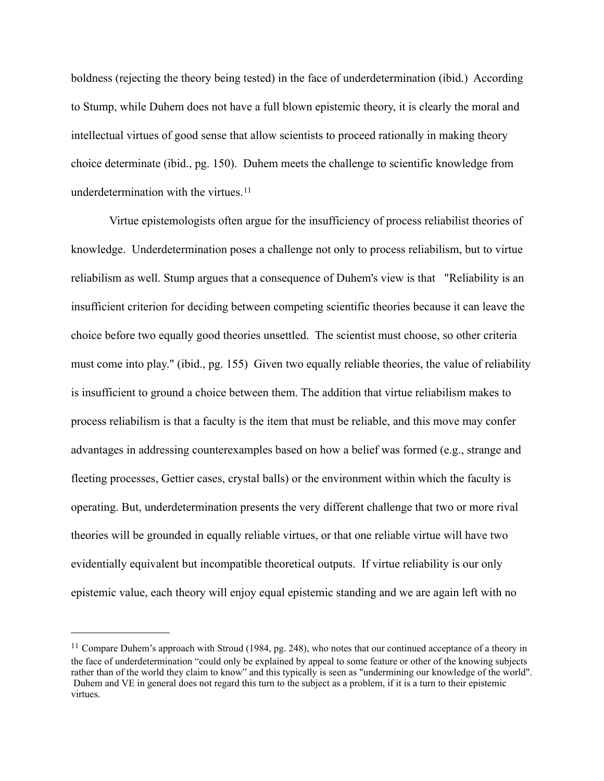boldness (rejecting the theory being tested) in the face of underdetermination (ibid.) According to Stump, while Duhem does not have a full blown epistemic theory, it is clearly the moral and intellectual virtues of good sense that allow scientists to proceed rationally in making theory choice determinate (ibid., pg. 150). Duhem meets the challenge to scientific knowledge from underdetermination with the virtues. $11$ 

 Virtue epistemologists often argue for the insufficiency of process reliabilist theories of knowledge. Underdetermination poses a challenge not only to process reliabilism, but to virtue reliabilism as well. Stump argues that a consequence of Duhem's view is that "Reliability is an insufficient criterion for deciding between competing scientific theories because it can leave the choice before two equally good theories unsettled. The scientist must choose, so other criteria must come into play." (ibid., pg. 155) Given two equally reliable theories, the value of reliability is insufficient to ground a choice between them. The addition that virtue reliabilism makes to process reliabilism is that a faculty is the item that must be reliable, and this move may confer advantages in addressing counterexamples based on how a belief was formed (e.g., strange and fleeting processes, Gettier cases, crystal balls) or the environment within which the faculty is operating. But, underdetermination presents the very different challenge that two or more rival theories will be grounded in equally reliable virtues, or that one reliable virtue will have two evidentially equivalent but incompatible theoretical outputs. If virtue reliability is our only epistemic value, each theory will enjoy equal epistemic standing and we are again left with no

<span id="page-12-0"></span><sup>&</sup>lt;sup>11</sup> Compare Duhem's approach with Stroud (1984, pg. 248), who notes that our continued acceptance of a theory in the face of underdetermination "could only be explained by appeal to some feature or other of the knowing subjects rather than of the world they claim to know" and this typically is seen as "undermining our knowledge of the world". Duhem and VE in general does not regard this turn to the subject as a problem, if it is a turn to their epistemic virtues.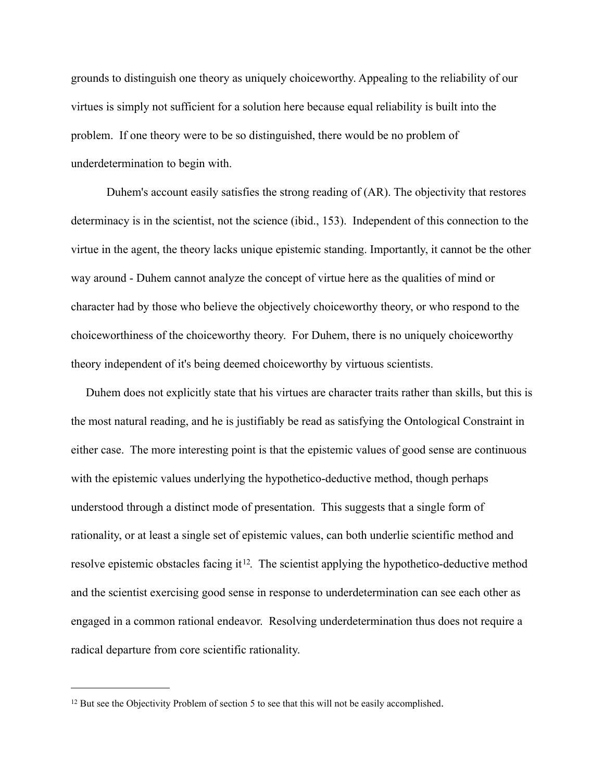grounds to distinguish one theory as uniquely choiceworthy. Appealing to the reliability of our virtues is simply not sufficient for a solution here because equal reliability is built into the problem. If one theory were to be so distinguished, there would be no problem of underdetermination to begin with.

 Duhem's account easily satisfies the strong reading of (AR). The objectivity that restores determinacy is in the scientist, not the science (ibid., 153). Independent of this connection to the virtue in the agent, the theory lacks unique epistemic standing. Importantly, it cannot be the other way around - Duhem cannot analyze the concept of virtue here as the qualities of mind or character had by those who believe the objectively choiceworthy theory, or who respond to the choiceworthiness of the choiceworthy theory. For Duhem, there is no uniquely choiceworthy theory independent of it's being deemed choiceworthy by virtuous scientists.

 Duhem does not explicitly state that his virtues are character traits rather than skills, but this is the most natural reading, and he is justifiably be read as satisfying the Ontological Constraint in either case. The more interesting point is that the epistemic values of good sense are continuous with the epistemic values underlying the hypothetico-deductive method, though perhaps understood through a distinct mode of presentation. This suggests that a single form of rationality, or at least a single set of epistemic values, can both underlie scientific method and resolve epistemic obstacles facing it<sup>[12](#page-13-0)</sup>. The scientist applying the hypothetico-deductive method and the scientist exercising good sense in response to underdetermination can see each other as engaged in a common rational endeavor. Resolving underdetermination thus does not require a radical departure from core scientific rationality.

<span id="page-13-0"></span><sup>&</sup>lt;sup>12</sup> But see the Objectivity Problem of section 5 to see that this will not be easily accomplished.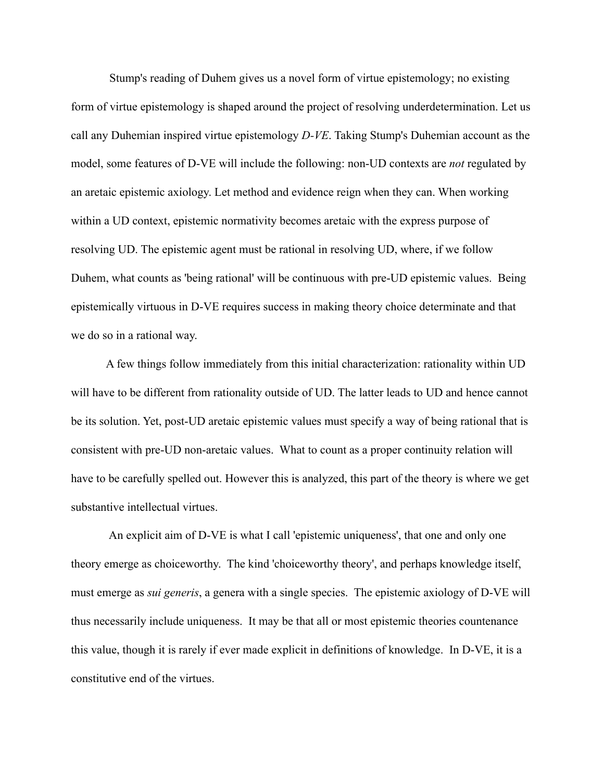Stump's reading of Duhem gives us a novel form of virtue epistemology; no existing form of virtue epistemology is shaped around the project of resolving underdetermination. Let us call any Duhemian inspired virtue epistemology *D-VE*. Taking Stump's Duhemian account as the model, some features of D-VE will include the following: non-UD contexts are *not* regulated by an aretaic epistemic axiology. Let method and evidence reign when they can. When working within a UD context, epistemic normativity becomes aretaic with the express purpose of resolving UD. The epistemic agent must be rational in resolving UD, where, if we follow Duhem, what counts as 'being rational' will be continuous with pre-UD epistemic values. Being epistemically virtuous in D-VE requires success in making theory choice determinate and that we do so in a rational way.

 A few things follow immediately from this initial characterization: rationality within UD will have to be different from rationality outside of UD. The latter leads to UD and hence cannot be its solution. Yet, post-UD aretaic epistemic values must specify a way of being rational that is consistent with pre-UD non-aretaic values. What to count as a proper continuity relation will have to be carefully spelled out. However this is analyzed, this part of the theory is where we get substantive intellectual virtues.

 An explicit aim of D-VE is what I call 'epistemic uniqueness', that one and only one theory emerge as choiceworthy. The kind 'choiceworthy theory', and perhaps knowledge itself, must emerge as *sui generis*, a genera with a single species. The epistemic axiology of D-VE will thus necessarily include uniqueness. It may be that all or most epistemic theories countenance this value, though it is rarely if ever made explicit in definitions of knowledge. In D-VE, it is a constitutive end of the virtues.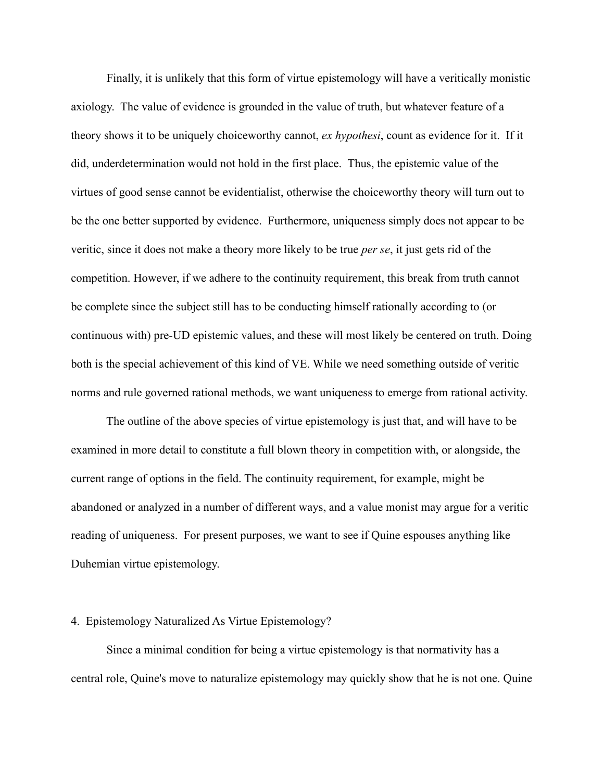Finally, it is unlikely that this form of virtue epistemology will have a veritically monistic axiology. The value of evidence is grounded in the value of truth, but whatever feature of a theory shows it to be uniquely choiceworthy cannot, *ex hypothesi*, count as evidence for it. If it did, underdetermination would not hold in the first place. Thus, the epistemic value of the virtues of good sense cannot be evidentialist, otherwise the choiceworthy theory will turn out to be the one better supported by evidence. Furthermore, uniqueness simply does not appear to be veritic, since it does not make a theory more likely to be true *per se*, it just gets rid of the competition. However, if we adhere to the continuity requirement, this break from truth cannot be complete since the subject still has to be conducting himself rationally according to (or continuous with) pre-UD epistemic values, and these will most likely be centered on truth. Doing both is the special achievement of this kind of VE. While we need something outside of veritic norms and rule governed rational methods, we want uniqueness to emerge from rational activity.

 The outline of the above species of virtue epistemology is just that, and will have to be examined in more detail to constitute a full blown theory in competition with, or alongside, the current range of options in the field. The continuity requirement, for example, might be abandoned or analyzed in a number of different ways, and a value monist may argue for a veritic reading of uniqueness. For present purposes, we want to see if Quine espouses anything like Duhemian virtue epistemology.

## 4. Epistemology Naturalized As Virtue Epistemology?

 Since a minimal condition for being a virtue epistemology is that normativity has a central role, Quine's move to naturalize epistemology may quickly show that he is not one. Quine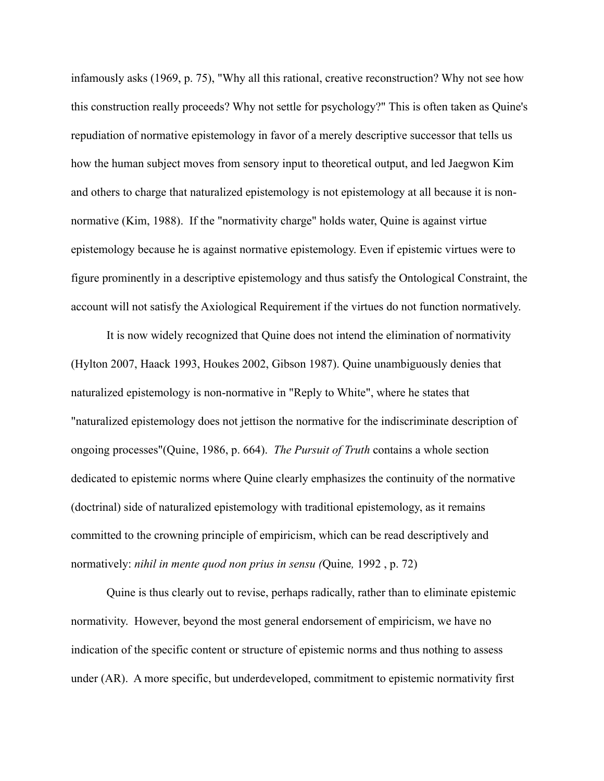infamously asks (1969, p. 75), "Why all this rational, creative reconstruction? Why not see how this construction really proceeds? Why not settle for psychology?" This is often taken as Quine's repudiation of normative epistemology in favor of a merely descriptive successor that tells us how the human subject moves from sensory input to theoretical output, and led Jaegwon Kim and others to charge that naturalized epistemology is not epistemology at all because it is nonnormative (Kim, 1988). If the "normativity charge" holds water, Quine is against virtue epistemology because he is against normative epistemology. Even if epistemic virtues were to figure prominently in a descriptive epistemology and thus satisfy the Ontological Constraint, the account will not satisfy the Axiological Requirement if the virtues do not function normatively.

 It is now widely recognized that Quine does not intend the elimination of normativity (Hylton 2007, Haack 1993, Houkes 2002, Gibson 1987). Quine unambiguously denies that naturalized epistemology is non-normative in "Reply to White", where he states that "naturalized epistemology does not jettison the normative for the indiscriminate description of ongoing processes"(Quine, 1986, p. 664). *The Pursuit of Truth* contains a whole section dedicated to epistemic norms where Quine clearly emphasizes the continuity of the normative (doctrinal) side of naturalized epistemology with traditional epistemology, as it remains committed to the crowning principle of empiricism, which can be read descriptively and normatively: *nihil in mente quod non prius in sensu (*Quine*,* 1992 , p. 72)

 Quine is thus clearly out to revise, perhaps radically, rather than to eliminate epistemic normativity. However, beyond the most general endorsement of empiricism, we have no indication of the specific content or structure of epistemic norms and thus nothing to assess under (AR). A more specific, but underdeveloped, commitment to epistemic normativity first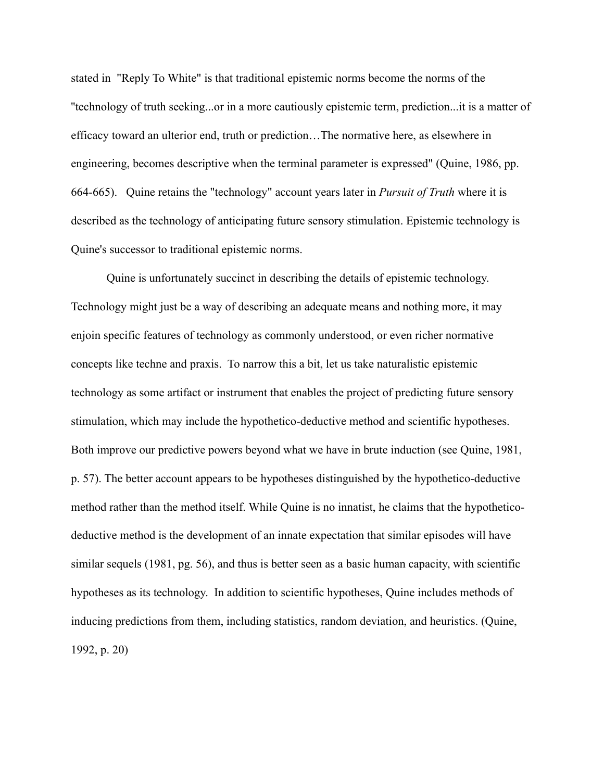stated in "Reply To White" is that traditional epistemic norms become the norms of the ''technology of truth seeking...or in a more cautiously epistemic term, prediction...it is a matter of efficacy toward an ulterior end, truth or prediction…The normative here, as elsewhere in engineering, becomes descriptive when the terminal parameter is expressed" (Quine, 1986, pp. 664-665). Quine retains the "technology" account years later in *Pursuit of Truth* where it is described as the technology of anticipating future sensory stimulation. Epistemic technology is Quine's successor to traditional epistemic norms.

 Quine is unfortunately succinct in describing the details of epistemic technology. Technology might just be a way of describing an adequate means and nothing more, it may enjoin specific features of technology as commonly understood, or even richer normative concepts like techne and praxis. To narrow this a bit, let us take naturalistic epistemic technology as some artifact or instrument that enables the project of predicting future sensory stimulation, which may include the hypothetico-deductive method and scientific hypotheses. Both improve our predictive powers beyond what we have in brute induction (see Quine, 1981, p. 57). The better account appears to be hypotheses distinguished by the hypothetico-deductive method rather than the method itself. While Quine is no innatist, he claims that the hypotheticodeductive method is the development of an innate expectation that similar episodes will have similar sequels (1981, pg. 56), and thus is better seen as a basic human capacity, with scientific hypotheses as its technology. In addition to scientific hypotheses, Quine includes methods of inducing predictions from them, including statistics, random deviation, and heuristics. (Quine, 1992, p. 20)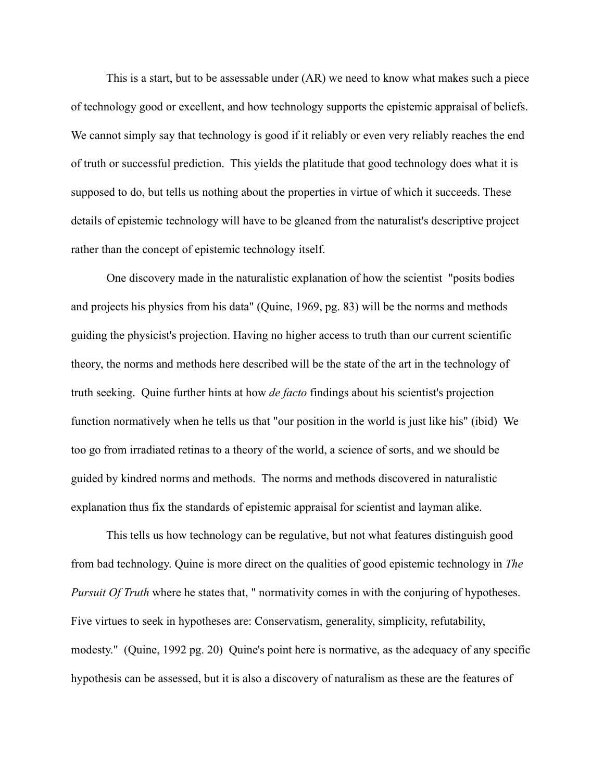This is a start, but to be assessable under (AR) we need to know what makes such a piece of technology good or excellent, and how technology supports the epistemic appraisal of beliefs. We cannot simply say that technology is good if it reliably or even very reliably reaches the end of truth or successful prediction. This yields the platitude that good technology does what it is supposed to do, but tells us nothing about the properties in virtue of which it succeeds. These details of epistemic technology will have to be gleaned from the naturalist's descriptive project rather than the concept of epistemic technology itself.

 One discovery made in the naturalistic explanation of how the scientist "posits bodies and projects his physics from his data" (Quine, 1969, pg. 83) will be the norms and methods guiding the physicist's projection. Having no higher access to truth than our current scientific theory, the norms and methods here described will be the state of the art in the technology of truth seeking. Quine further hints at how *de facto* findings about his scientist's projection function normatively when he tells us that "our position in the world is just like his" (ibid) We too go from irradiated retinas to a theory of the world, a science of sorts, and we should be guided by kindred norms and methods. The norms and methods discovered in naturalistic explanation thus fix the standards of epistemic appraisal for scientist and layman alike.

 This tells us how technology can be regulative, but not what features distinguish good from bad technology. Quine is more direct on the qualities of good epistemic technology in *The Pursuit Of Truth* where he states that, " normativity comes in with the conjuring of hypotheses. Five virtues to seek in hypotheses are: Conservatism, generality, simplicity, refutability, modesty." (Quine, 1992 pg. 20) Quine's point here is normative, as the adequacy of any specific hypothesis can be assessed, but it is also a discovery of naturalism as these are the features of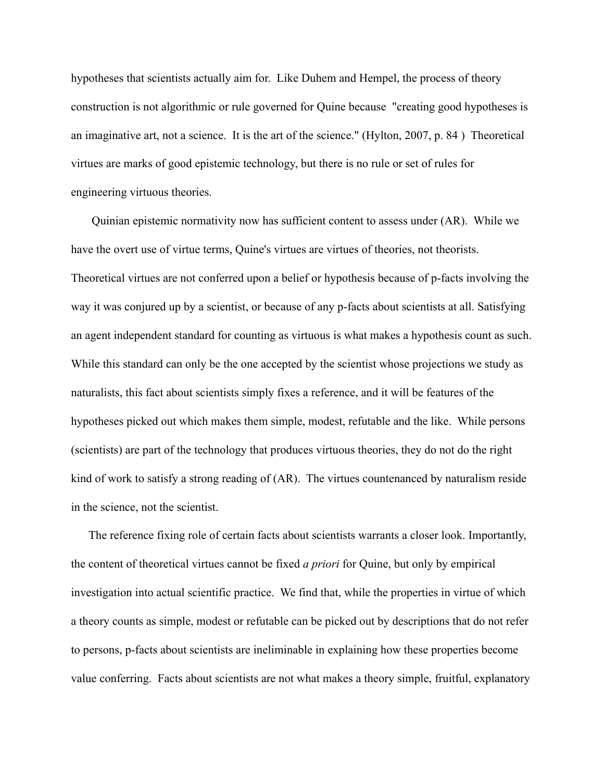hypotheses that scientists actually aim for. Like Duhem and Hempel, the process of theory construction is not algorithmic or rule governed for Quine because "creating good hypotheses is an imaginative art, not a science. It is the art of the science." (Hylton, 2007, p. 84 ) Theoretical virtues are marks of good epistemic technology, but there is no rule or set of rules for engineering virtuous theories.

 Quinian epistemic normativity now has sufficient content to assess under (AR). While we have the overt use of virtue terms, Quine's virtues are virtues of theories, not theorists. Theoretical virtues are not conferred upon a belief or hypothesis because of p-facts involving the way it was conjured up by a scientist, or because of any p-facts about scientists at all. Satisfying an agent independent standard for counting as virtuous is what makes a hypothesis count as such. While this standard can only be the one accepted by the scientist whose projections we study as naturalists, this fact about scientists simply fixes a reference, and it will be features of the hypotheses picked out which makes them simple, modest, refutable and the like. While persons (scientists) are part of the technology that produces virtuous theories, they do not do the right kind of work to satisfy a strong reading of (AR). The virtues countenanced by naturalism reside in the science, not the scientist.

 The reference fixing role of certain facts about scientists warrants a closer look. Importantly, the content of theoretical virtues cannot be fixed *a priori* for Quine, but only by empirical investigation into actual scientific practice. We find that, while the properties in virtue of which a theory counts as simple, modest or refutable can be picked out by descriptions that do not refer to persons, p-facts about scientists are ineliminable in explaining how these properties become value conferring. Facts about scientists are not what makes a theory simple, fruitful, explanatory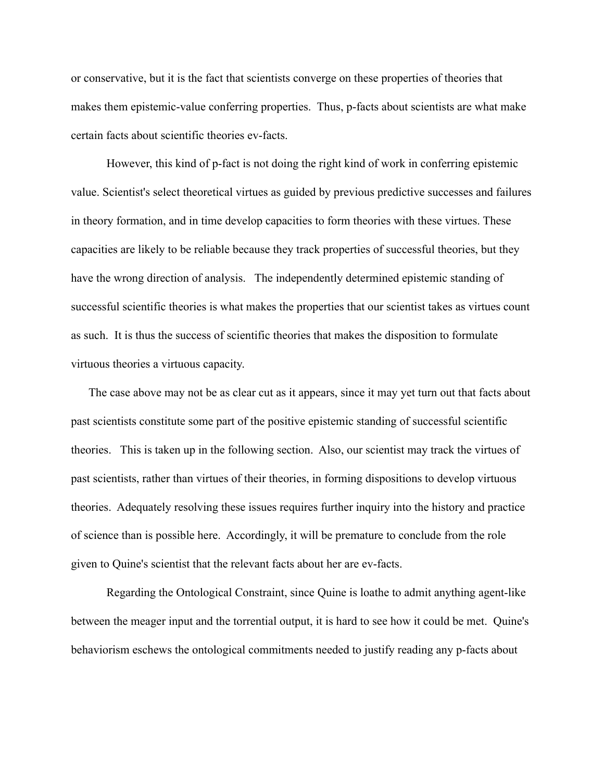or conservative, but it is the fact that scientists converge on these properties of theories that makes them epistemic-value conferring properties. Thus, p-facts about scientists are what make certain facts about scientific theories ev-facts.

However, this kind of p-fact is not doing the right kind of work in conferring epistemic value. Scientist's select theoretical virtues as guided by previous predictive successes and failures in theory formation, and in time develop capacities to form theories with these virtues. These capacities are likely to be reliable because they track properties of successful theories, but they have the wrong direction of analysis. The independently determined epistemic standing of successful scientific theories is what makes the properties that our scientist takes as virtues count as such. It is thus the success of scientific theories that makes the disposition to formulate virtuous theories a virtuous capacity.

 The case above may not be as clear cut as it appears, since it may yet turn out that facts about past scientists constitute some part of the positive epistemic standing of successful scientific theories. This is taken up in the following section. Also, our scientist may track the virtues of past scientists, rather than virtues of their theories, in forming dispositions to develop virtuous theories. Adequately resolving these issues requires further inquiry into the history and practice of science than is possible here. Accordingly, it will be premature to conclude from the role given to Quine's scientist that the relevant facts about her are ev-facts.

Regarding the Ontological Constraint, since Quine is loathe to admit anything agent-like between the meager input and the torrential output, it is hard to see how it could be met. Quine's behaviorism eschews the ontological commitments needed to justify reading any p-facts about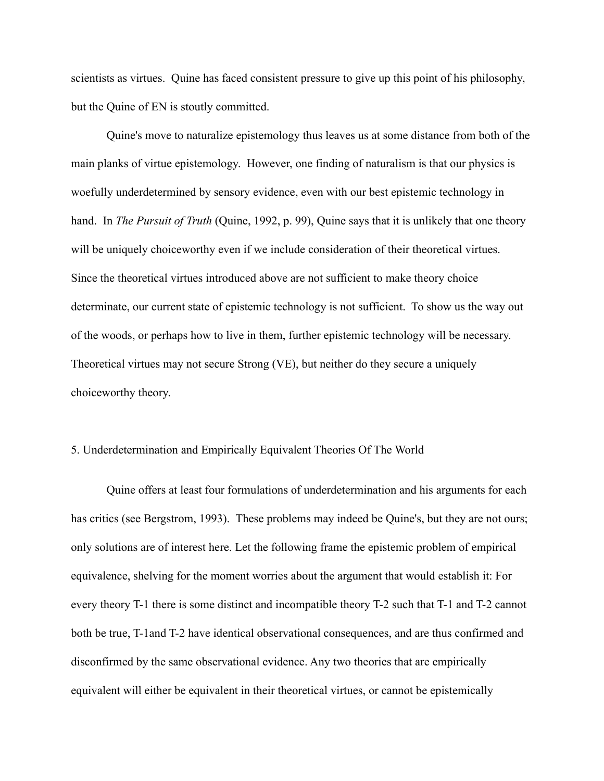scientists as virtues. Quine has faced consistent pressure to give up this point of his philosophy, but the Quine of EN is stoutly committed.

Quine's move to naturalize epistemology thus leaves us at some distance from both of the main planks of virtue epistemology. However, one finding of naturalism is that our physics is woefully underdetermined by sensory evidence, even with our best epistemic technology in hand. In *The Pursuit of Truth* (Quine, 1992, p. 99), Quine says that it is unlikely that one theory will be uniquely choiceworthy even if we include consideration of their theoretical virtues. Since the theoretical virtues introduced above are not sufficient to make theory choice determinate, our current state of epistemic technology is not sufficient. To show us the way out of the woods, or perhaps how to live in them, further epistemic technology will be necessary. Theoretical virtues may not secure Strong (VE), but neither do they secure a uniquely choiceworthy theory.

#### 5. Underdetermination and Empirically Equivalent Theories Of The World

 Quine offers at least four formulations of underdetermination and his arguments for each has critics (see Bergstrom, 1993). These problems may indeed be Quine's, but they are not ours; only solutions are of interest here. Let the following frame the epistemic problem of empirical equivalence, shelving for the moment worries about the argument that would establish it: For every theory T-1 there is some distinct and incompatible theory T-2 such that T-1 and T-2 cannot both be true, T-1and T-2 have identical observational consequences, and are thus confirmed and disconfirmed by the same observational evidence. Any two theories that are empirically equivalent will either be equivalent in their theoretical virtues, or cannot be epistemically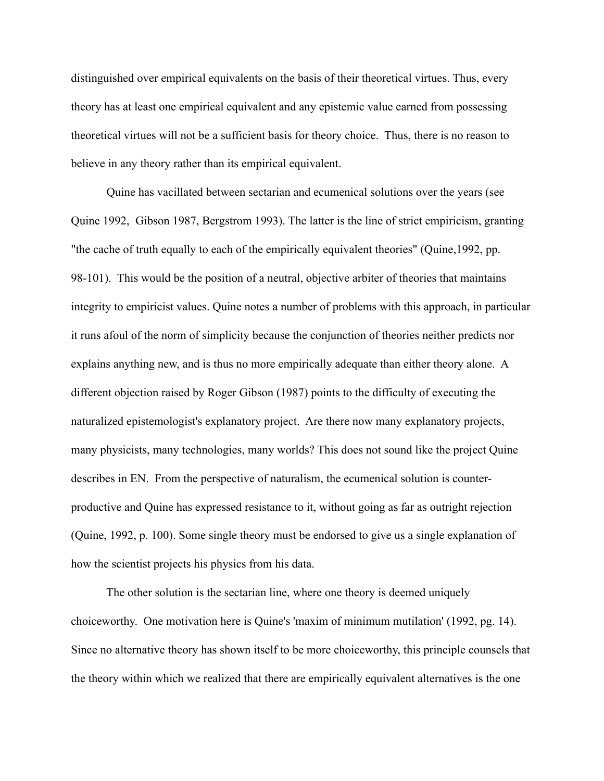distinguished over empirical equivalents on the basis of their theoretical virtues. Thus, every theory has at least one empirical equivalent and any epistemic value earned from possessing theoretical virtues will not be a sufficient basis for theory choice. Thus, there is no reason to believe in any theory rather than its empirical equivalent.

 Quine has vacillated between sectarian and ecumenical solutions over the years (see Quine 1992, Gibson 1987, Bergstrom 1993). The latter is the line of strict empiricism, granting "the cache of truth equally to each of the empirically equivalent theories" (Quine,1992, pp. 98-101). This would be the position of a neutral, objective arbiter of theories that maintains integrity to empiricist values. Quine notes a number of problems with this approach, in particular it runs afoul of the norm of simplicity because the conjunction of theories neither predicts nor explains anything new, and is thus no more empirically adequate than either theory alone. A different objection raised by Roger Gibson (1987) points to the difficulty of executing the naturalized epistemologist's explanatory project. Are there now many explanatory projects, many physicists, many technologies, many worlds? This does not sound like the project Quine describes in EN. From the perspective of naturalism, the ecumenical solution is counterproductive and Quine has expressed resistance to it, without going as far as outright rejection (Quine, 1992, p. 100). Some single theory must be endorsed to give us a single explanation of how the scientist projects his physics from his data.

 The other solution is the sectarian line, where one theory is deemed uniquely choiceworthy. One motivation here is Quine's 'maxim of minimum mutilation' (1992, pg. 14). Since no alternative theory has shown itself to be more choiceworthy, this principle counsels that the theory within which we realized that there are empirically equivalent alternatives is the one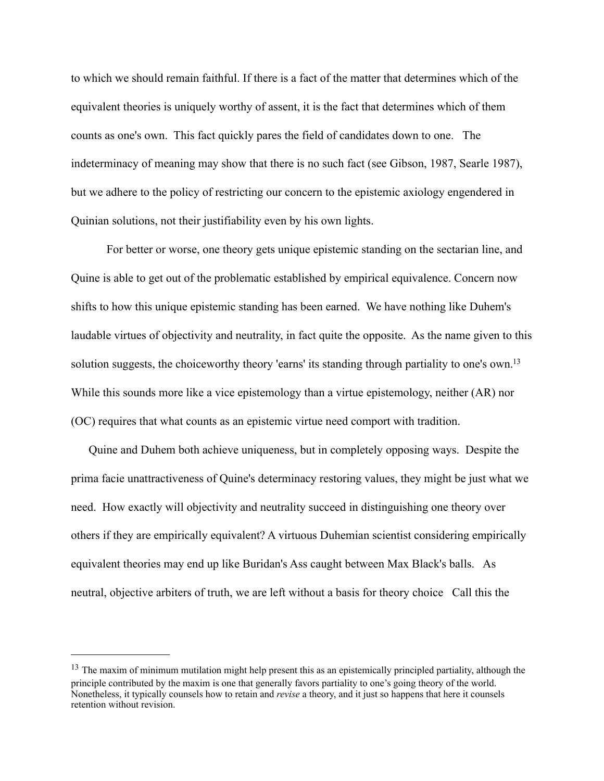to which we should remain faithful. If there is a fact of the matter that determines which of the equivalent theories is uniquely worthy of assent, it is the fact that determines which of them counts as one's own. This fact quickly pares the field of candidates down to one. The indeterminacy of meaning may show that there is no such fact (see Gibson, 1987, Searle 1987), but we adhere to the policy of restricting our concern to the epistemic axiology engendered in Quinian solutions, not their justifiability even by his own lights.

 For better or worse, one theory gets unique epistemic standing on the sectarian line, and Quine is able to get out of the problematic established by empirical equivalence. Concern now shifts to how this unique epistemic standing has been earned. We have nothing like Duhem's laudable virtues of objectivity and neutrality, in fact quite the opposite. As the name given to this solution suggests, the choiceworthy theory 'earns' its standing through partiality to one's own.<sup>13</sup> While this sounds more like a vice epistemology than a virtue epistemology, neither  $(AR)$  nor (OC) requires that what counts as an epistemic virtue need comport with tradition.

 Quine and Duhem both achieve uniqueness, but in completely opposing ways. Despite the prima facie unattractiveness of Quine's determinacy restoring values, they might be just what we need. How exactly will objectivity and neutrality succeed in distinguishing one theory over others if they are empirically equivalent? A virtuous Duhemian scientist considering empirically equivalent theories may end up like Buridan's Ass caught between Max Black's balls. As neutral, objective arbiters of truth, we are left without a basis for theory choice Call this the

<span id="page-23-0"></span><sup>&</sup>lt;sup>13</sup> The maxim of minimum mutilation might help present this as an epistemically principled partiality, although the principle contributed by the maxim is one that generally favors partiality to one's going theory of the world. Nonetheless, it typically counsels how to retain and *revise* a theory, and it just so happens that here it counsels retention without revision.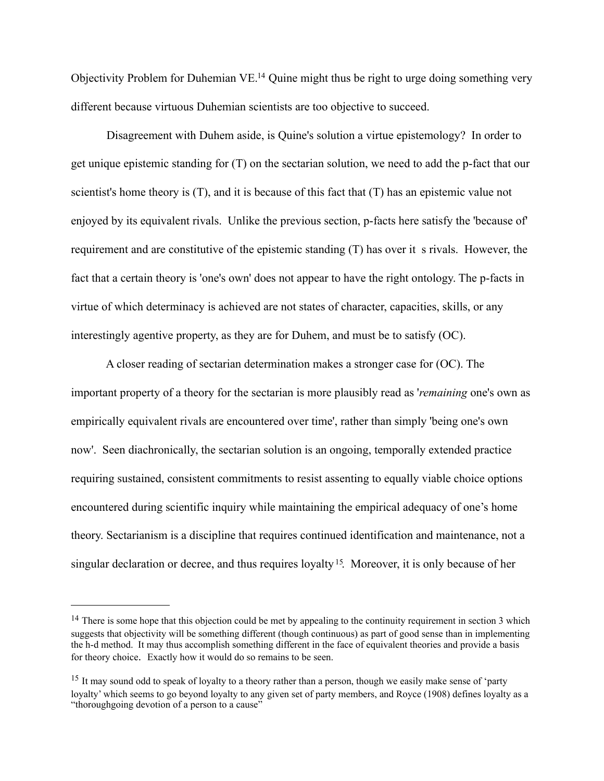Objectivity Problem for Duhemian VE[.14](#page-24-0) Quine might thus be right to urge doing something very different because virtuous Duhemian scientists are too objective to succeed.

 Disagreement with Duhem aside, is Quine's solution a virtue epistemology? In order to get unique epistemic standing for (T) on the sectarian solution, we need to add the p-fact that our scientist's home theory is (T), and it is because of this fact that (T) has an epistemic value not enjoyed by its equivalent rivals. Unlike the previous section, p-facts here satisfy the 'because of' requirement and are constitutive of the epistemic standing (T) has over it s rivals. However, the fact that a certain theory is 'one's own' does not appear to have the right ontology. The p-facts in virtue of which determinacy is achieved are not states of character, capacities, skills, or any interestingly agentive property, as they are for Duhem, and must be to satisfy (OC).

 A closer reading of sectarian determination makes a stronger case for (OC). The important property of a theory for the sectarian is more plausibly read as '*remaining* one's own as empirically equivalent rivals are encountered over time', rather than simply 'being one's own now'. Seen diachronically, the sectarian solution is an ongoing, temporally extended practice requiring sustained, consistent commitments to resist assenting to equally viable choice options encountered during scientific inquiry while maintaining the empirical adequacy of one's home theory. Sectarianism is a discipline that requires continued identification and maintenance, not a singular declaration or decree, and thus requires loyalty<sup>15</sup>. Moreover, it is only because of her

<span id="page-24-0"></span><sup>&</sup>lt;sup>14</sup> There is some hope that this objection could be met by appealing to the continuity requirement in section 3 which suggests that objectivity will be something different (though continuous) as part of good sense than in implementing the h-d method. It may thus accomplish something different in the face of equivalent theories and provide a basis for theory choice. Exactly how it would do so remains to be seen.

<span id="page-24-1"></span><sup>&</sup>lt;sup>15</sup> It may sound odd to speak of loyalty to a theory rather than a person, though we easily make sense of 'party loyalty' which seems to go beyond loyalty to any given set of party members, and Royce (1908) defines loyalty as a "thoroughgoing devotion of a person to a cause"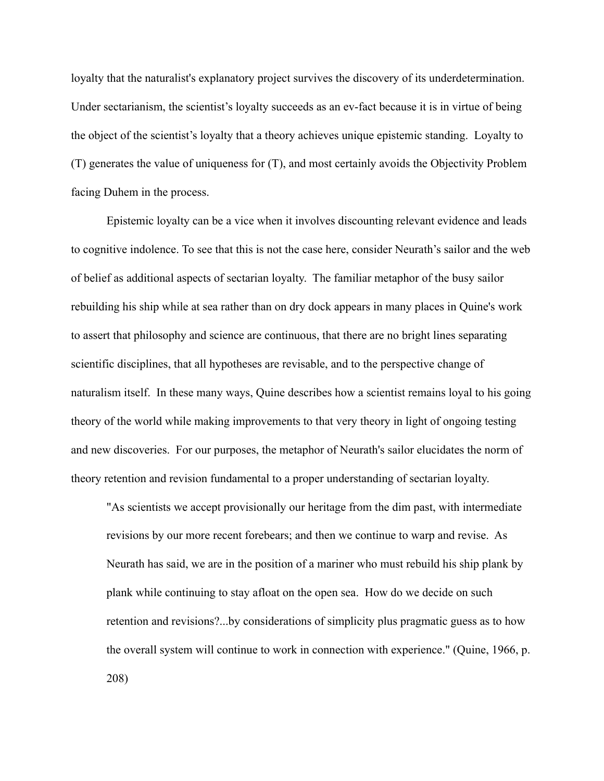loyalty that the naturalist's explanatory project survives the discovery of its underdetermination. Under sectarianism, the scientist's loyalty succeeds as an ev-fact because it is in virtue of being the object of the scientist's loyalty that a theory achieves unique epistemic standing. Loyalty to (T) generates the value of uniqueness for (T), and most certainly avoids the Objectivity Problem facing Duhem in the process.

 Epistemic loyalty can be a vice when it involves discounting relevant evidence and leads to cognitive indolence. To see that this is not the case here, consider Neurath's sailor and the web of belief as additional aspects of sectarian loyalty. The familiar metaphor of the busy sailor rebuilding his ship while at sea rather than on dry dock appears in many places in Quine's work to assert that philosophy and science are continuous, that there are no bright lines separating scientific disciplines, that all hypotheses are revisable, and to the perspective change of naturalism itself. In these many ways, Quine describes how a scientist remains loyal to his going theory of the world while making improvements to that very theory in light of ongoing testing and new discoveries. For our purposes, the metaphor of Neurath's sailor elucidates the norm of theory retention and revision fundamental to a proper understanding of sectarian loyalty.

"As scientists we accept provisionally our heritage from the dim past, with intermediate revisions by our more recent forebears; and then we continue to warp and revise. As Neurath has said, we are in the position of a mariner who must rebuild his ship plank by plank while continuing to stay afloat on the open sea. How do we decide on such retention and revisions?...by considerations of simplicity plus pragmatic guess as to how the overall system will continue to work in connection with experience." (Quine, 1966, p. 208)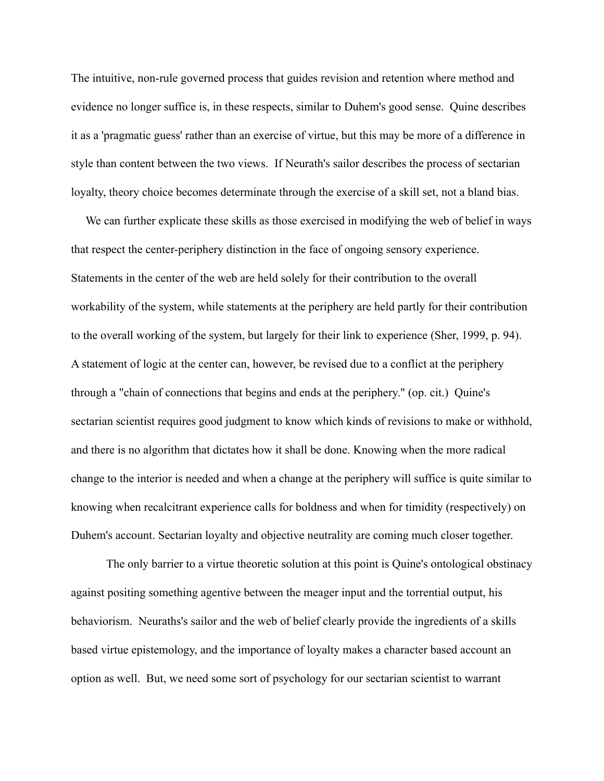The intuitive, non-rule governed process that guides revision and retention where method and evidence no longer suffice is, in these respects, similar to Duhem's good sense. Quine describes it as a 'pragmatic guess' rather than an exercise of virtue, but this may be more of a difference in style than content between the two views. If Neurath's sailor describes the process of sectarian loyalty, theory choice becomes determinate through the exercise of a skill set, not a bland bias.

 We can further explicate these skills as those exercised in modifying the web of belief in ways that respect the center-periphery distinction in the face of ongoing sensory experience. Statements in the center of the web are held solely for their contribution to the overall workability of the system, while statements at the periphery are held partly for their contribution to the overall working of the system, but largely for their link to experience (Sher, 1999, p. 94). A statement of logic at the center can, however, be revised due to a conflict at the periphery through a "chain of connections that begins and ends at the periphery." (op. cit.) Quine's sectarian scientist requires good judgment to know which kinds of revisions to make or withhold, and there is no algorithm that dictates how it shall be done. Knowing when the more radical change to the interior is needed and when a change at the periphery will suffice is quite similar to knowing when recalcitrant experience calls for boldness and when for timidity (respectively) on Duhem's account. Sectarian loyalty and objective neutrality are coming much closer together.

 The only barrier to a virtue theoretic solution at this point is Quine's ontological obstinacy against positing something agentive between the meager input and the torrential output, his behaviorism. Neuraths's sailor and the web of belief clearly provide the ingredients of a skills based virtue epistemology, and the importance of loyalty makes a character based account an option as well. But, we need some sort of psychology for our sectarian scientist to warrant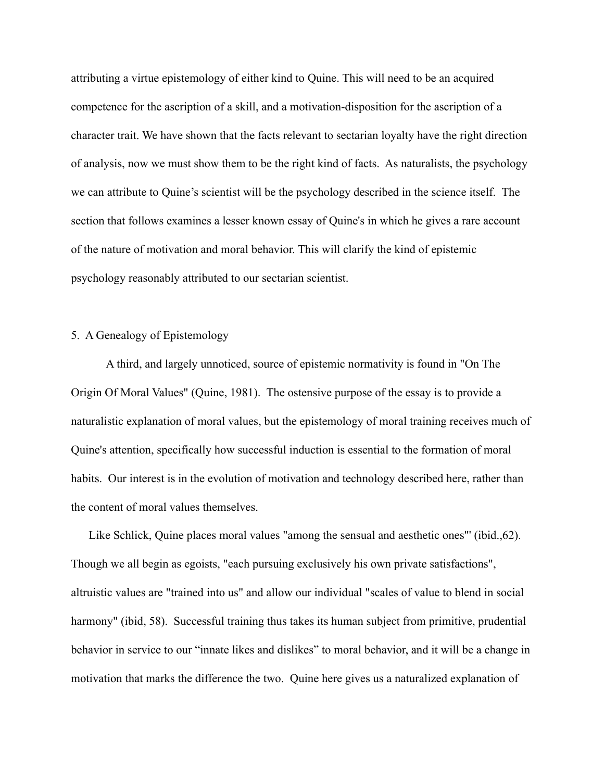attributing a virtue epistemology of either kind to Quine. This will need to be an acquired competence for the ascription of a skill, and a motivation-disposition for the ascription of a character trait. We have shown that the facts relevant to sectarian loyalty have the right direction of analysis, now we must show them to be the right kind of facts. As naturalists, the psychology we can attribute to Quine's scientist will be the psychology described in the science itself. The section that follows examines a lesser known essay of Quine's in which he gives a rare account of the nature of motivation and moral behavior. This will clarify the kind of epistemic psychology reasonably attributed to our sectarian scientist.

## 5. A Genealogy of Epistemology

 A third, and largely unnoticed, source of epistemic normativity is found in "On The Origin Of Moral Values" (Quine, 1981). The ostensive purpose of the essay is to provide a naturalistic explanation of moral values, but the epistemology of moral training receives much of Quine's attention, specifically how successful induction is essential to the formation of moral habits. Our interest is in the evolution of motivation and technology described here, rather than the content of moral values themselves.

 Like Schlick, Quine places moral values "among the sensual and aesthetic ones"' (ibid.,62). Though we all begin as egoists, "each pursuing exclusively his own private satisfactions", altruistic values are "trained into us" and allow our individual "scales of value to blend in social harmony" (ibid, 58). Successful training thus takes its human subject from primitive, prudential behavior in service to our "innate likes and dislikes" to moral behavior, and it will be a change in motivation that marks the difference the two. Quine here gives us a naturalized explanation of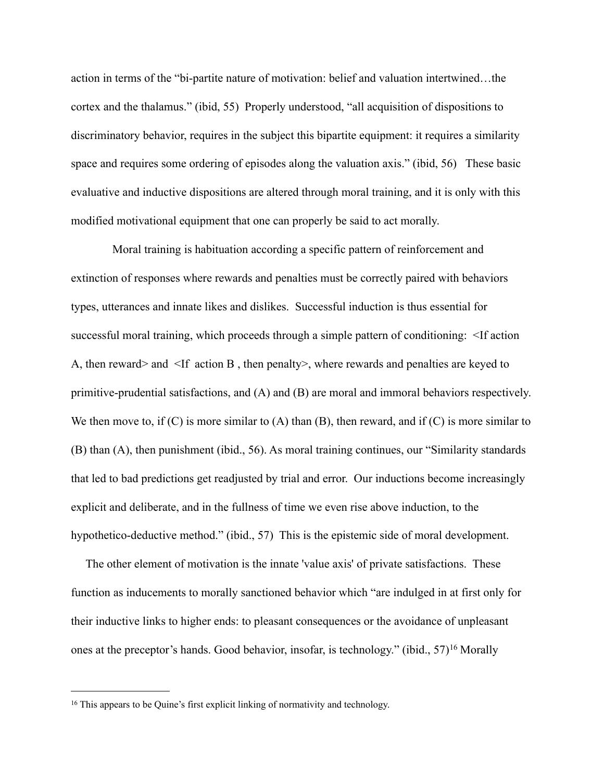action in terms of the "bi-partite nature of motivation: belief and valuation intertwined…the cortex and the thalamus." (ibid, 55) Properly understood, "all acquisition of dispositions to discriminatory behavior, requires in the subject this bipartite equipment: it requires a similarity space and requires some ordering of episodes along the valuation axis." (ibid, 56) These basic evaluative and inductive dispositions are altered through moral training, and it is only with this modified motivational equipment that one can properly be said to act morally.

 Moral training is habituation according a specific pattern of reinforcement and extinction of responses where rewards and penalties must be correctly paired with behaviors types, utterances and innate likes and dislikes. Successful induction is thus essential for successful moral training, which proceeds through a simple pattern of conditioning: <If action A, then reward> and  $\leq$ If action B, then penalty>, where rewards and penalties are keyed to primitive-prudential satisfactions, and (A) and (B) are moral and immoral behaviors respectively. We then move to, if  $(C)$  is more similar to  $(A)$  than  $(B)$ , then reward, and if  $(C)$  is more similar to (B) than (A), then punishment (ibid., 56). As moral training continues, our "Similarity standards that led to bad predictions get readjusted by trial and error. Our inductions become increasingly explicit and deliberate, and in the fullness of time we even rise above induction, to the hypothetico-deductive method." (ibid., 57) This is the epistemic side of moral development.

 The other element of motivation is the innate 'value axis' of private satisfactions. These function as inducements to morally sanctioned behavior which "are indulged in at first only for their inductive links to higher ends: to pleasant consequences or the avoidance of unpleasant ones at the preceptor's hands. Good behavior, insofar, is technology." (ibid.,  $57$ )<sup>16</sup> Morally

<span id="page-28-0"></span><sup>&</sup>lt;sup>16</sup> This appears to be Quine's first explicit linking of normativity and technology.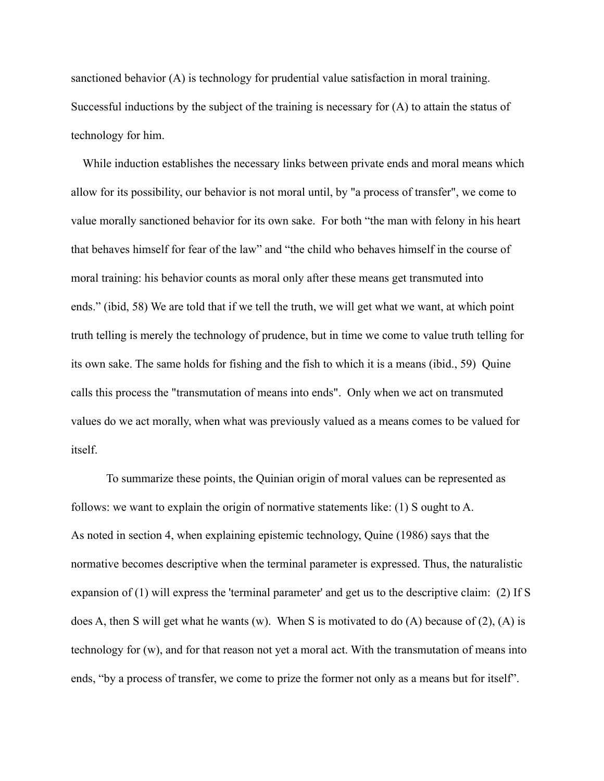sanctioned behavior (A) is technology for prudential value satisfaction in moral training. Successful inductions by the subject of the training is necessary for (A) to attain the status of technology for him.

 While induction establishes the necessary links between private ends and moral means which allow for its possibility, our behavior is not moral until, by "a process of transfer", we come to value morally sanctioned behavior for its own sake. For both "the man with felony in his heart that behaves himself for fear of the law" and "the child who behaves himself in the course of moral training: his behavior counts as moral only after these means get transmuted into ends." (ibid, 58) We are told that if we tell the truth, we will get what we want, at which point truth telling is merely the technology of prudence, but in time we come to value truth telling for its own sake. The same holds for fishing and the fish to which it is a means (ibid., 59) Quine calls this process the "transmutation of means into ends". Only when we act on transmuted values do we act morally, when what was previously valued as a means comes to be valued for itself.

 To summarize these points, the Quinian origin of moral values can be represented as follows: we want to explain the origin of normative statements like: (1) S ought to A. As noted in section 4, when explaining epistemic technology, Quine (1986) says that the normative becomes descriptive when the terminal parameter is expressed. Thus, the naturalistic expansion of (1) will express the 'terminal parameter' and get us to the descriptive claim: (2) If S does A, then S will get what he wants (w). When S is motivated to do (A) because of (2), (A) is technology for (w), and for that reason not yet a moral act. With the transmutation of means into ends, "by a process of transfer, we come to prize the former not only as a means but for itself".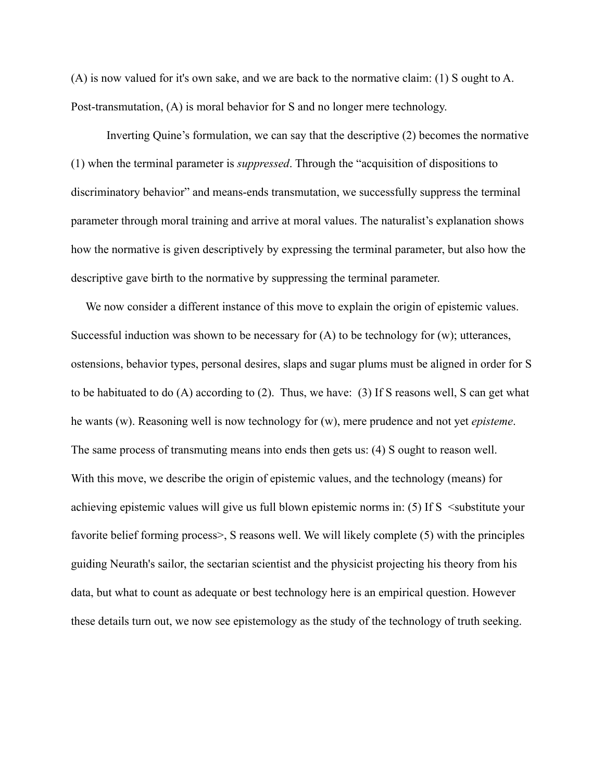(A) is now valued for it's own sake, and we are back to the normative claim: (1) S ought to A. Post-transmutation, (A) is moral behavior for S and no longer mere technology.

Inverting Quine's formulation, we can say that the descriptive (2) becomes the normative (1) when the terminal parameter is *suppressed*. Through the "acquisition of dispositions to discriminatory behavior" and means-ends transmutation, we successfully suppress the terminal parameter through moral training and arrive at moral values. The naturalist's explanation shows how the normative is given descriptively by expressing the terminal parameter, but also how the descriptive gave birth to the normative by suppressing the terminal parameter.

 We now consider a different instance of this move to explain the origin of epistemic values. Successful induction was shown to be necessary for  $(A)$  to be technology for  $(w)$ ; utterances, ostensions, behavior types, personal desires, slaps and sugar plums must be aligned in order for S to be habituated to do (A) according to (2). Thus, we have: (3) If S reasons well, S can get what he wants (w). Reasoning well is now technology for (w), mere prudence and not yet *episteme*. The same process of transmuting means into ends then gets us: (4) S ought to reason well. With this move, we describe the origin of epistemic values, and the technology (means) for achieving epistemic values will give us full blown epistemic norms in: (5) If S <substitute your favorite belief forming process>, S reasons well. We will likely complete (5) with the principles guiding Neurath's sailor, the sectarian scientist and the physicist projecting his theory from his data, but what to count as adequate or best technology here is an empirical question. However these details turn out, we now see epistemology as the study of the technology of truth seeking.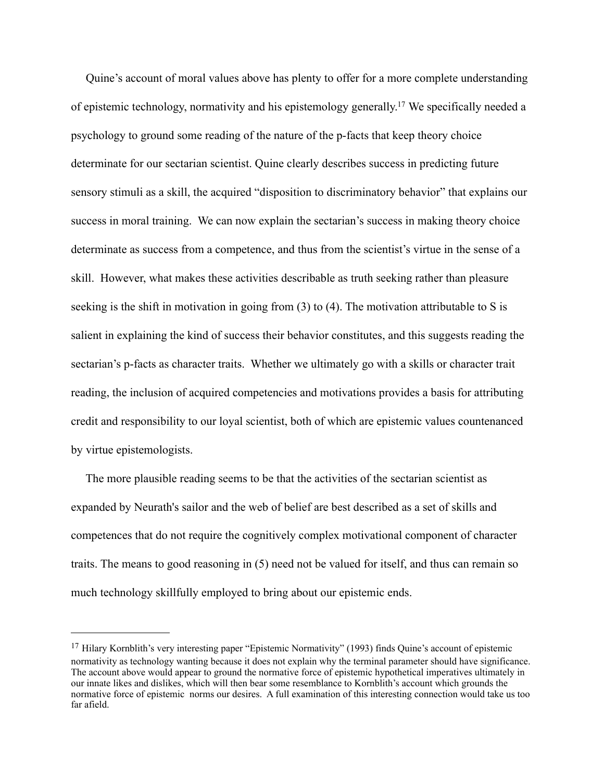Quine's account of moral values above has plenty to offer for a more complete understanding of epistemic technology, normativity and his epistemology generally[.17](#page-31-0) We specifically needed a psychology to ground some reading of the nature of the p-facts that keep theory choice determinate for our sectarian scientist. Quine clearly describes success in predicting future sensory stimuli as a skill, the acquired "disposition to discriminatory behavior" that explains our success in moral training. We can now explain the sectarian's success in making theory choice determinate as success from a competence, and thus from the scientist's virtue in the sense of a skill. However, what makes these activities describable as truth seeking rather than pleasure seeking is the shift in motivation in going from (3) to (4). The motivation attributable to S is salient in explaining the kind of success their behavior constitutes, and this suggests reading the sectarian's p-facts as character traits. Whether we ultimately go with a skills or character trait reading, the inclusion of acquired competencies and motivations provides a basis for attributing credit and responsibility to our loyal scientist, both of which are epistemic values countenanced by virtue epistemologists.

 The more plausible reading seems to be that the activities of the sectarian scientist as expanded by Neurath's sailor and the web of belief are best described as a set of skills and competences that do not require the cognitively complex motivational component of character traits. The means to good reasoning in (5) need not be valued for itself, and thus can remain so much technology skillfully employed to bring about our epistemic ends.

<span id="page-31-0"></span><sup>&</sup>lt;sup>17</sup> Hilary Kornblith's very interesting paper "Epistemic Normativity" (1993) finds Quine's account of epistemic normativity as technology wanting because it does not explain why the terminal parameter should have significance. The account above would appear to ground the normative force of epistemic hypothetical imperatives ultimately in our innate likes and dislikes, which will then bear some resemblance to Kornblith's account which grounds the normative force of epistemic norms our desires. A full examination of this interesting connection would take us too far afield.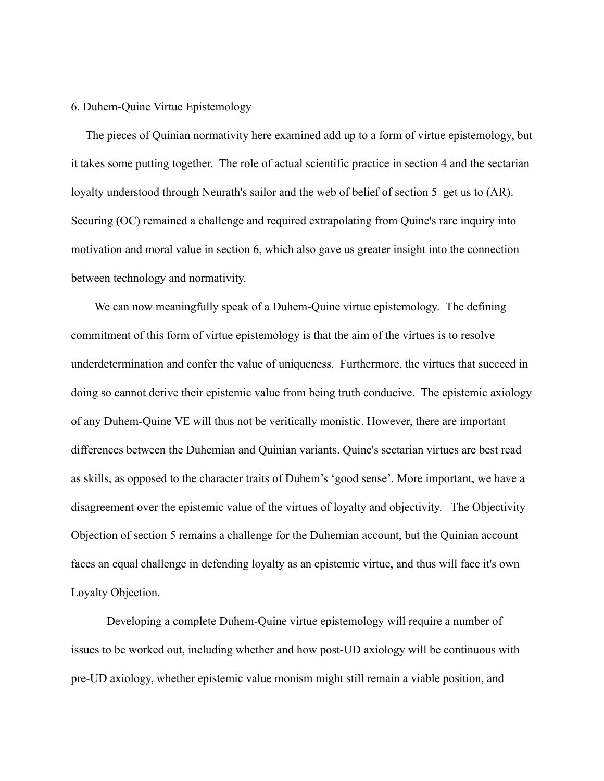#### 6. Duhem-Quine Virtue Epistemology

 The pieces of Quinian normativity here examined add up to a form of virtue epistemology, but it takes some putting together. The role of actual scientific practice in section 4 and the sectarian loyalty understood through Neurath's sailor and the web of belief of section 5 get us to (AR). Securing (OC) remained a challenge and required extrapolating from Quine's rare inquiry into motivation and moral value in section 6, which also gave us greater insight into the connection between technology and normativity.

 We can now meaningfully speak of a Duhem-Quine virtue epistemology. The defining commitment of this form of virtue epistemology is that the aim of the virtues is to resolve underdetermination and confer the value of uniqueness. Furthermore, the virtues that succeed in doing so cannot derive their epistemic value from being truth conducive. The epistemic axiology of any Duhem-Quine VE will thus not be veritically monistic. However, there are important differences between the Duhemian and Quinian variants. Quine's sectarian virtues are best read as skills, as opposed to the character traits of Duhem's 'good sense'. More important, we have a disagreement over the epistemic value of the virtues of loyalty and objectivity. The Objectivity Objection of section 5 remains a challenge for the Duhemian account, but the Quinian account faces an equal challenge in defending loyalty as an epistemic virtue, and thus will face it's own Loyalty Objection.

Developing a complete Duhem-Quine virtue epistemology will require a number of issues to be worked out, including whether and how post-UD axiology will be continuous with pre-UD axiology, whether epistemic value monism might still remain a viable position, and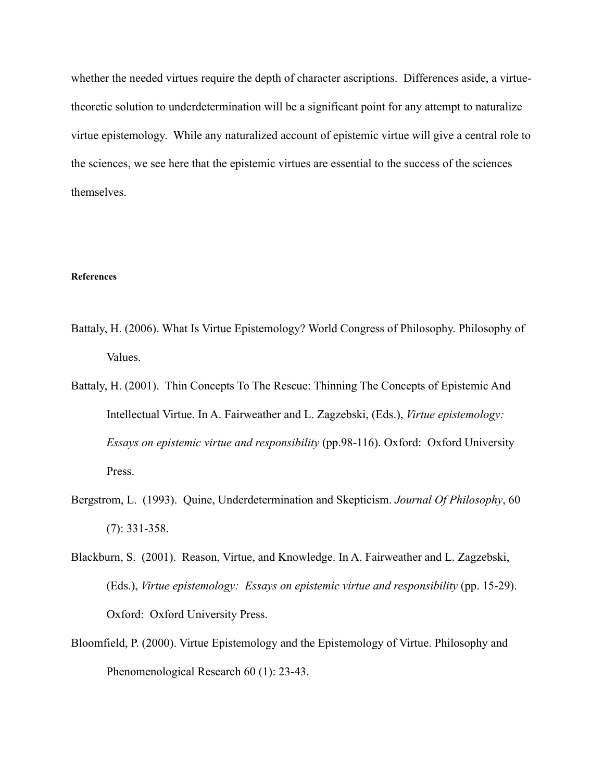whether the needed virtues require the depth of character ascriptions. Differences aside, a virtuetheoretic solution to underdetermination will be a significant point for any attempt to naturalize virtue epistemology. While any naturalized account of epistemic virtue will give a central role to the sciences, we see here that the epistemic virtues are essential to the success of the sciences themselves.

#### **References**

- Battaly, H. (2006). What Is Virtue Epistemology? World Congress of Philosophy. Philosophy of Values.
- Battaly, H. (2001). Thin Concepts To The Rescue: Thinning The Concepts of Epistemic And Intellectual Virtue. In A. Fairweather and L. Zagzebski, (Eds.), *Virtue epistemology: Essays on epistemic virtue and responsibility* (pp.98-116). Oxford: Oxford University Press.
- Bergstrom, L. (1993). Quine, Underdetermination and Skepticism. *Journal Of Philosophy*, 60 (7): 331-358.
- Blackburn, S. (2001). Reason, Virtue, and Knowledge. In A. Fairweather and L. Zagzebski, (Eds.), *Virtue epistemology: Essays on epistemic virtue and responsibility* (pp. 15-29). Oxford: Oxford University Press.
- Bloomfield, P. (2000). Virtue Epistemology and the Epistemology of Virtue. Philosophy and Phenomenological Research 60 (1): 23-43.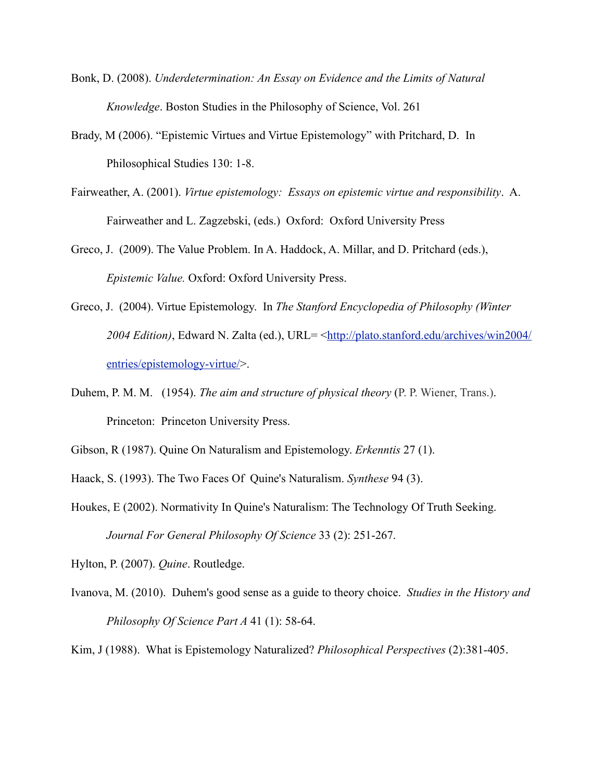- Bonk, D. (2008). *Underdetermination: An Essay on Evidence and the Limits of Natural Knowledge*. Boston Studies in the Philosophy of Science, Vol. 261
- Brady, M (2006). "Epistemic Virtues and Virtue Epistemology" with Pritchard, D. In Philosophical Studies 130: 1-8.
- Fairweather, A. (2001). *Virtue epistemology: Essays on epistemic virtue and responsibility*. A. Fairweather and L. Zagzebski, (eds.) Oxford: Oxford University Press
- Greco, J. (2009). The Value Problem. In A. Haddock, A. Millar, and D. Pritchard (eds.), *Epistemic Value.* Oxford: Oxford University Press.
- Greco, J. (2004). Virtue Epistemology. In *The Stanford Encyclopedia of Philosophy (Winter 2004 Edition*), Edward N. Zalta (ed.), URL= <[http://plato.stanford.edu/archives/win2004/](http://plato.stanford.edu/archives/win2004/entries/epistemology-virtue/) [entries/epistemology-virtue/](http://plato.stanford.edu/archives/win2004/entries/epistemology-virtue/)>.
- Duhem, P. M. M. (1954). *The aim and structure of physical theory* (P. P. Wiener, Trans.). Princeton: Princeton University Press.
- Gibson, R (1987). Quine On Naturalism and Epistemology. *Erkenntis* 27 (1).

Haack, S. (1993). The Two Faces Of Quine's Naturalism. *Synthese* 94 (3).

- Houkes, E (2002). Normativity In Quine's Naturalism: The Technology Of Truth Seeking. *Journal For General Philosophy Of Science* 33 (2): 251-267.
- Hylton, P. (2007). *Quine*. Routledge.
- Ivanova, M. (2010). Duhem's good sense as a guide to theory choice. *Studies in the History and Philosophy Of Science Part A* 41 (1): 58-64.

Kim, J (1988). What is Epistemology Naturalized? *Philosophical Perspectives* (2):381-405.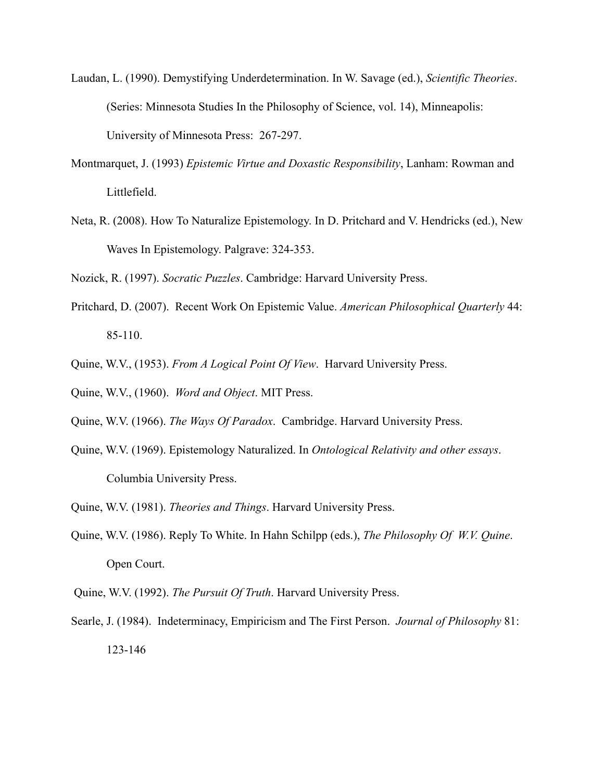- Laudan, L. (1990). Demystifying Underdetermination. In W. Savage (ed.), *Scientific Theories*. (Series: Minnesota Studies In the Philosophy of Science, vol. 14), Minneapolis: University of Minnesota Press: 267-297.
- Montmarquet, J. (1993) *Epistemic Virtue and Doxastic Responsibility*, Lanham: Rowman and Littlefield.
- Neta, R. (2008). How To Naturalize Epistemology. In D. Pritchard and V. Hendricks (ed.), New Waves In Epistemology. Palgrave: 324-353.

Nozick, R. (1997). *Socratic Puzzles*. Cambridge: Harvard University Press.

- Pritchard, D. (2007). Recent Work On Epistemic Value. *American Philosophical Quarterly* 44: 85-110.
- Quine, W.V., (1953). *From A Logical Point Of View*. Harvard University Press.
- Quine, W.V., (1960). *Word and Object*. MIT Press.
- Quine, W.V. (1966). *The Ways Of Paradox*. Cambridge. Harvard University Press.
- Quine, W.V. (1969). Epistemology Naturalized. In *Ontological Relativity and other essays*. Columbia University Press.
- Quine, W.V. (1981). *Theories and Things*. Harvard University Press.
- Quine, W.V. (1986). Reply To White. In Hahn Schilpp (eds.), *The Philosophy Of W.V. Quine*. Open Court.
- Quine, W.V. (1992). *The Pursuit Of Truth*. Harvard University Press.
- Searle, J. (1984). Indeterminacy, Empiricism and The First Person. *Journal of Philosophy* 81: 123-146